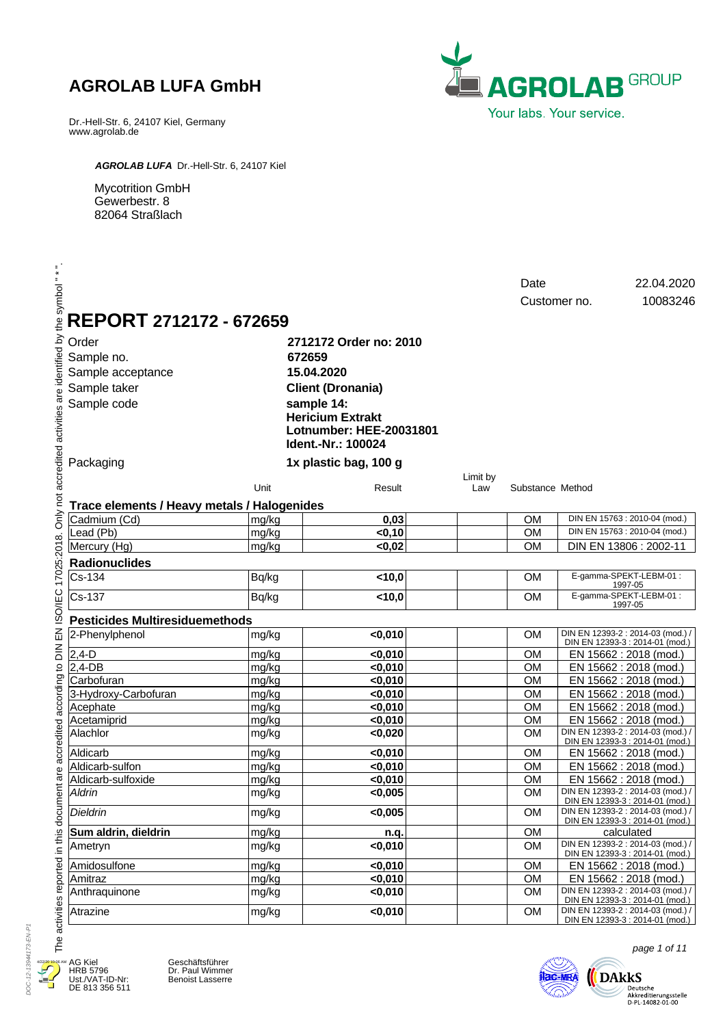Dr.-Hell-Str. 6, 24107 Kiel, Germany www.agrolab.de



*AGROLAB LUFA* Dr.-Hell-Str. 6, 24107 Kiel

Mycotrition GmbH Gewerbestr. 8 82064 Straßlach

|                                                    | REPORT 2712172 - 672659                     |       |                                                                                                                                                                             |          | Date             | 22.04.2020<br>10083246<br>Customer no.                               |
|----------------------------------------------------|---------------------------------------------|-------|-----------------------------------------------------------------------------------------------------------------------------------------------------------------------------|----------|------------------|----------------------------------------------------------------------|
| Order<br>Sample no.<br>Sample taker<br>Sample code | Sample acceptance                           |       | 2712172 Order no: 2010<br>672659<br>15.04.2020<br><b>Client (Dronania)</b><br>sample 14:<br><b>Hericium Extrakt</b><br><b>Lotnumber: HEE-20031801</b><br>Ident.-Nr.: 100024 |          |                  |                                                                      |
| Packaging                                          |                                             |       | 1x plastic bag, 100 g                                                                                                                                                       | Limit by |                  |                                                                      |
|                                                    |                                             | Unit  | Result                                                                                                                                                                      | Law      | Substance Method |                                                                      |
|                                                    | Trace elements / Heavy metals / Halogenides |       |                                                                                                                                                                             |          |                  | DIN EN 15763 : 2010-04 (mod.)                                        |
| Cadmium (Cd)                                       |                                             | mg/kg | 0,03                                                                                                                                                                        |          | <b>OM</b>        | DIN EN 15763 : 2010-04 (mod.)                                        |
| Lead (Pb)                                          |                                             | mg/kg | $0,10$                                                                                                                                                                      |          | <b>OM</b>        |                                                                      |
| Mercury (Hg)                                       |                                             | mg/kg | < 0,02                                                                                                                                                                      |          | <b>OM</b>        | DIN EN 13806 : 2002-11                                               |
| <b>Radionuclides</b>                               |                                             |       |                                                                                                                                                                             |          |                  |                                                                      |
| Cs-134                                             |                                             | Bq/kg | < 10,0                                                                                                                                                                      |          | <b>OM</b>        | E-gamma-SPEKT-LEBM-01:<br>1997-05                                    |
| Cs-137                                             |                                             | Bq/kg | 10,0                                                                                                                                                                        |          | <b>OM</b>        | E-gamma-SPEKT-LEBM-01:<br>1997-05                                    |
|                                                    | <b>Pesticides Multiresiduemethods</b>       |       |                                                                                                                                                                             |          |                  |                                                                      |
| 2-Phenylphenol                                     |                                             | mg/kg | < 0,010                                                                                                                                                                     |          | <b>OM</b>        | DIN EN 12393-2 : 2014-03 (mod.) /<br>DIN EN 12393-3 : 2014-01 (mod.) |
| $2,4-D$                                            |                                             | mg/kg | < 0,010                                                                                                                                                                     |          | <b>OM</b>        | EN 15662 : 2018 (mod.)                                               |
| 2,4-DB                                             |                                             | mg/kg | $0,010$                                                                                                                                                                     |          | <b>OM</b>        | EN 15662 : 2018 (mod.)                                               |
| Carbofuran                                         |                                             | mg/kg | $0,010$                                                                                                                                                                     |          | <b>OM</b>        | EN 15662 : 2018 (mod.)                                               |
|                                                    | 3-Hydroxy-Carbofuran                        | mg/kg | $0,010$                                                                                                                                                                     |          | <b>OM</b>        | EN 15662 : 2018 (mod.)                                               |
| Acephate                                           |                                             | mg/kg | < 0,010                                                                                                                                                                     |          | <b>OM</b>        | EN 15662 : 2018 (mod.)                                               |
| Acetamiprid                                        |                                             | mg/kg | $0,010$                                                                                                                                                                     |          | <b>OM</b>        | EN 15662 : 2018 (mod.)                                               |
| Alachlor                                           |                                             | mg/kg | < 0,020                                                                                                                                                                     |          | <b>OM</b>        | DIN EN 12393-2 : 2014-03 (mod.) /<br>DIN EN 12393-3 : 2014-01 (mod.) |
| Aldicarb                                           |                                             | mg/kg | < 0,010                                                                                                                                                                     |          | <b>OM</b>        | EN 15662 : 2018 (mod.)                                               |
| Aldicarb-sulfon                                    |                                             | mg/kg | < 0,010                                                                                                                                                                     |          | <b>OM</b>        | EN 15662 : 2018 (mod.)                                               |
|                                                    | Aldicarb-sulfoxide                          | mg/kg | < 0,010                                                                                                                                                                     |          | <b>OM</b>        | EN 15662 : 2018 (mod.)                                               |
| Aldrin                                             |                                             | mg/kg | < 0,005                                                                                                                                                                     |          | <b>OM</b>        | DIN EN 12393-2 : 2014-03 (mod.) /<br>DIN EN 12393-3 : 2014-01 (mod.) |
| Dieldrin                                           |                                             | mg/kg | $<$ 0,005                                                                                                                                                                   |          | OM               | DIN EN 12393-2 : 2014-03 (mod.) /<br>DIN EN 12393-3 : 2014-01 (mod.) |
|                                                    | Sum aldrin, dieldrin                        | mg/kg | n.q.                                                                                                                                                                        |          | <b>OM</b>        | calculated                                                           |
| Ametryn                                            |                                             | mg/kg | <0,010                                                                                                                                                                      |          | <b>OM</b>        | DIN EN 12393-2 : 2014-03 (mod.) /<br>DIN EN 12393-3 : 2014-01 (mod.) |
| Amidosulfone                                       |                                             | mg/kg | <0,010                                                                                                                                                                      |          | <b>OM</b>        | EN 15662 : 2018 (mod.)                                               |
| Amitraz                                            |                                             | mg/kg | < 0,010                                                                                                                                                                     |          | OM               | EN 15662 : 2018 (mod.)                                               |
| Anthraquinone                                      |                                             | mg/kg | < 0,010                                                                                                                                                                     |          | OM               | DIN EN 12393-2 : 2014-03 (mod.) /<br>DIN EN 12393-3 : 2014-01 (mod.) |
| Atrazine                                           |                                             | mg/kg | <0,010                                                                                                                                                                      |          | <b>OM</b>        | DIN EN 12393-2 : 2014-03 (mod.) /<br>DIN EN 12393-3 : 2014-01 (mod.) |



AG Kiel HRB 5796 Ust./VAT-ID-Nr: DE 813 356 511

Geschäftsführer Dr. Paul Wimmer Benoist Lasserre



page 1 of 11

 $\bigotimes_{\substack{\text{Deutsche}\\ \text{Akkediterungstelle}\\ \text{D-PL-14082-01-00}}} \text{DAkks}$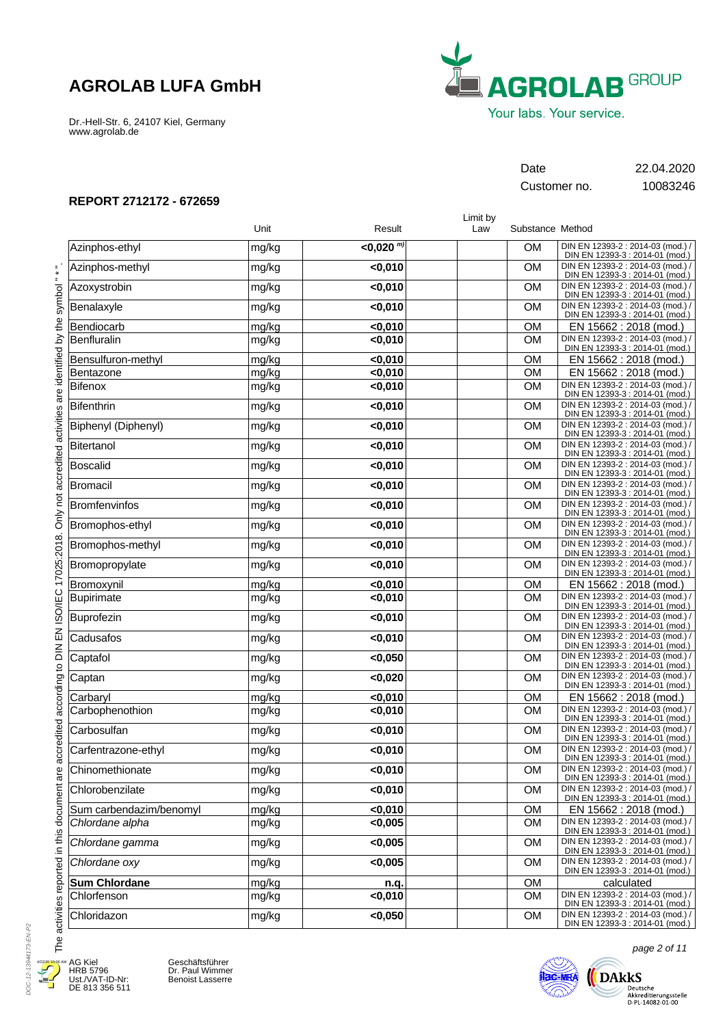Dr.-Hell-Str. 6, 24107 Kiel, Germany www.agrolab.de



Customer no. 10083246

Date 22.04.2020

### **REPORT 2712172 - 672659**

|                         |       |                  | Limit by |                  |                                                                      |
|-------------------------|-------|------------------|----------|------------------|----------------------------------------------------------------------|
|                         | Unit  | Result           | Law      | Substance Method |                                                                      |
| Azinphos-ethyl          | mg/kg | $<$ 0.020 $^{m}$ |          | <b>OM</b>        | DIN EN 12393-2 : 2014-03 (mod.) /<br>DIN EN 12393-3 : 2014-01 (mod.) |
| Azinphos-methyl         | mg/kg | $0,010$          |          | <b>OM</b>        | DIN EN 12393-2 : 2014-03 (mod.) /<br>DIN EN 12393-3 : 2014-01 (mod.) |
| Azoxystrobin            | mg/kg | < 0,010          |          | <b>OM</b>        | DIN EN 12393-2 : 2014-03 (mod.) /<br>DIN EN 12393-3 : 2014-01 (mod.) |
| Benalaxyle              | mg/kg | $0,010$          |          | <b>OM</b>        | DIN EN 12393-2 : 2014-03 (mod.) /<br>DIN EN 12393-3 : 2014-01 (mod.) |
| Bendiocarb              | mg/kg | < 0,010          |          | <b>OM</b>        | EN 15662 : 2018 (mod.)                                               |
| Benfluralin             | mg/kg | $0,010$          |          | <b>OM</b>        | DIN EN 12393-2 : 2014-03 (mod.) /<br>DIN EN 12393-3 : 2014-01 (mod.) |
| Bensulfuron-methyl      | mg/kg | < 0,010          |          | <b>OM</b>        | EN 15662 : 2018 (mod.)                                               |
| Bentazone               | mg/kg | $0,010$          |          | <b>OM</b>        | EN 15662 : 2018 (mod.)                                               |
| Bifenox                 | mg/kg | $0,010$          |          | <b>OM</b>        | DIN EN 12393-2 : 2014-03 (mod.) /<br>DIN EN 12393-3 : 2014-01 (mod.) |
| Bifenthrin              | mg/kg | $0,010$          |          | OM               | DIN EN 12393-2 : 2014-03 (mod.)<br>DIN EN 12393-3 : 2014-01 (mod.)   |
| Biphenyl (Diphenyl)     | mg/kg | $0,010$          |          | <b>OM</b>        | DIN EN 12393-2 : 2014-03 (mod.) /<br>DIN EN 12393-3 : 2014-01 (mod.) |
| Bitertanol              | mg/kg | $0,010$          |          | <b>OM</b>        | DIN EN 12393-2 : 2014-03 (mod.) /<br>DIN EN 12393-3 : 2014-01 (mod.) |
| Boscalid                | mg/kg | $0,010$          |          | <b>OM</b>        | DIN EN 12393-2 : 2014-03 (mod.) /<br>DIN EN 12393-3 : 2014-01 (mod.) |
| Bromacil                | mg/kg | $0,010$          |          | <b>OM</b>        | DIN EN 12393-2 : 2014-03 (mod.) /<br>DIN EN 12393-3 : 2014-01 (mod.) |
| Bromfenvinfos           | mg/kg | $0,010$          |          | <b>OM</b>        | DIN EN 12393-2 : 2014-03 (mod.) /<br>DIN EN 12393-3 : 2014-01 (mod.) |
| Bromophos-ethyl         | mg/kg | $0,010$          |          | <b>OM</b>        | DIN EN 12393-2 : 2014-03 (mod.) /<br>DIN EN 12393-3 : 2014-01 (mod.) |
| Bromophos-methyl        | mg/kg | $0,010$          |          | <b>OM</b>        | DIN EN 12393-2 : 2014-03 (mod.) /<br>DIN EN 12393-3 : 2014-01 (mod.) |
| Bromopropylate          | mg/kg | $0,010$          |          | <b>OM</b>        | DIN EN 12393-2 : 2014-03 (mod.) /<br>DIN EN 12393-3 : 2014-01 (mod.) |
| Bromoxynil              | mg/kg | $0,010$          |          | <b>OM</b>        | EN 15662 : 2018 (mod.)                                               |
| Bupirimate              | mg/kg | $0,010$          |          | <b>OM</b>        | DIN EN 12393-2 : 2014-03 (mod.) /<br>DIN EN 12393-3 : 2014-01 (mod.) |
| Buprofezin              | mg/kg | $0,010$          |          | <b>OM</b>        | DIN EN 12393-2 : 2014-03 (mod.) /<br>DIN EN 12393-3 : 2014-01 (mod.) |
| Cadusafos               | mg/kg | $0,010$          |          | <b>OM</b>        | DIN EN 12393-2 : 2014-03 (mod.) /<br>DIN EN 12393-3 : 2014-01 (mod.) |
| Captafol                | mg/kg | < 0,050          |          | <b>OM</b>        | DIN EN 12393-2 : 2014-03 (mod.) /<br>DIN EN 12393-3 : 2014-01 (mod.) |
| Captan                  | mg/kg | < 0,020          |          | <b>OM</b>        | DIN EN 12393-2 : 2014-03 (mod.) /<br>DIN EN 12393-3 : 2014-01 (mod.) |
| Carbaryl                | mg/kg | $0,010$          |          | <b>OM</b>        | EN 15662 : 2018 (mod.)                                               |
| Carbophenothion         | mg/kg | $0,010$          |          | <b>OM</b>        | DIN EN 12393-2 : 2014-03 (mod.) /<br>DIN EN 12393-3 : 2014-01 (mod.) |
| Carbosulfan             | mg/kg | $0,010$          |          | <b>OM</b>        | DIN EN 12393-2 : 2014-03 (mod.) /<br>DIN EN 12393-3 : 2014-01 (mod.) |
| Carfentrazone-ethyl     | mg/kg | $0,010$          |          | <b>OM</b>        | DIN EN 12393-2 : 2014-03 (mod.) /<br>DIN EN 12393-3 : 2014-01 (mod.) |
| Chinomethionate         | mg/kg | $0,010$          |          | <b>OM</b>        | DIN EN 12393-2 : 2014-03 (mod.) /<br>DIN EN 12393-3 : 2014-01 (mod.) |
| Chlorobenzilate         | mg/kg | $0,010$          |          | <b>OM</b>        | DIN EN 12393-2 : 2014-03 (mod.) /<br>DIN EN 12393-3 : 2014-01 (mod.) |
| Sum carbendazim/benomyl | mg/kg | $0,010$          |          | <b>OM</b>        | EN 15662 : 2018 (mod.)                                               |
| Chlordane alpha         | mg/kg | < 0,005          |          | <b>OM</b>        | DIN EN 12393-2 : 2014-03 (mod.) /<br>DIN EN 12393-3 : 2014-01 (mod.) |
| Chlordane gamma         | mg/kg | < 0,005          |          | <b>OM</b>        | DIN EN 12393-2 : 2014-03 (mod.) /<br>DIN EN 12393-3 : 2014-01 (mod.) |
| Chlordane oxv           | mg/kg | < 0,005          |          | OM               | DIN EN 12393-2 : 2014-03 (mod.) /<br>DIN EN 12393-3 : 2014-01 (mod.) |
| <b>Sum Chlordane</b>    | mg/kg | n.q.             |          | <b>OM</b>        | calculated                                                           |
| Chlorfenson             | mg/kg | $0,010$          |          | <b>OM</b>        | DIN EN 12393-2 : 2014-03 (mod.)<br>DIN EN 12393-3 : 2014-01 (mod.)   |
| Chloridazon             | mg/kg | < 0,050          |          | OM               | DIN EN 12393-2 : 2014-03 (mod.) /<br>DIN EN 12393-3 : 2014-01 (mod.) |



۲

AG Kiel HRB 5796 Ust./VAT-ID-Nr: DE 813 356 511

Geschäftsführer Dr. Paul Wimmer Benoist Lasserre



page 2 of 11

 $\bigoplus\limits_{\text{Deutsche } \atop \text{Akkeediterungsstelle } \atop \text{D-PL-14082-01-00}}$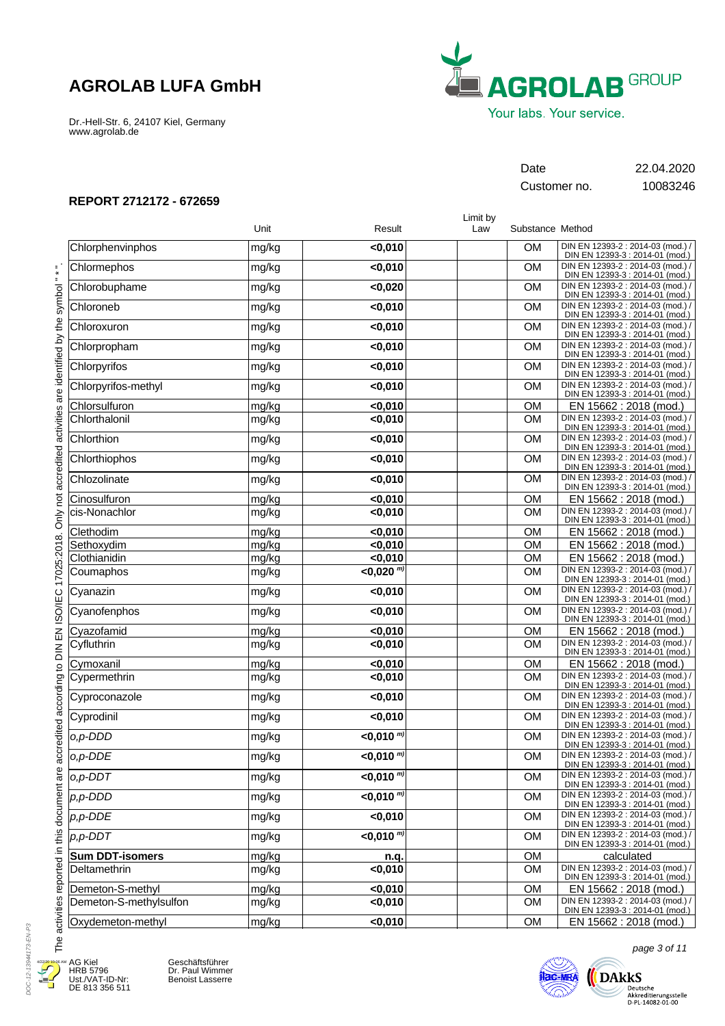Dr.-Hell-Str. 6, 24107 Kiel, Germany www.agrolab.de



Customer no. 10083246

Date 22.04.2020

### **REPORT 2712172 - 672659**

|                        |       |                    | Limit by |                  |                                                                      |
|------------------------|-------|--------------------|----------|------------------|----------------------------------------------------------------------|
|                        | Unit  | Result             | Law      | Substance Method |                                                                      |
| Chlorphenvinphos       | mg/kg | $0,010$            |          | <b>OM</b>        | DIN EN 12393-2 : 2014-03 (mod.) /<br>DIN EN 12393-3 : 2014-01 (mod.) |
| Chlormephos            | mg/kg | $0,010$            |          | <b>OM</b>        | DIN EN 12393-2 : 2014-03 (mod.) /<br>DIN EN 12393-3 : 2014-01 (mod.) |
| Chlorobuphame          | mg/kg | <0,020             |          | <b>OM</b>        | DIN EN 12393-2 : 2014-03 (mod.) /<br>DIN EN 12393-3 : 2014-01 (mod.) |
| Chloroneb              | mg/kg | $0,010$            |          | <b>OM</b>        | DIN EN 12393-2 : 2014-03 (mod.) /<br>DIN EN 12393-3 : 2014-01 (mod.) |
| Chloroxuron            | mg/kg | $0,010$            |          | <b>OM</b>        | DIN EN 12393-2 : 2014-03 (mod.) /<br>DIN EN 12393-3 : 2014-01 (mod.) |
| Chlorpropham           | mg/kg | $0,010$            |          | <b>OM</b>        | DIN EN 12393-2 : 2014-03 (mod.) /<br>DIN EN 12393-3 : 2014-01 (mod.) |
| Chlorpyrifos           | mg/kg | <0,010             |          | <b>OM</b>        | DIN EN 12393-2 : 2014-03 (mod.) /<br>DIN EN 12393-3 : 2014-01 (mod.) |
| Chlorpyrifos-methyl    | mg/kg | $0,010$            |          | <b>OM</b>        | DIN EN 12393-2 : 2014-03 (mod.) /<br>DIN EN 12393-3 : 2014-01 (mod.) |
| Chlorsulfuron          | mg/kg | $0,010$            |          | <b>OM</b>        | EN 15662 : 2018 (mod.)                                               |
| Chlorthalonil          | mg/kg | $0,010$            |          | <b>OM</b>        | DIN EN 12393-2 : 2014-03 (mod.) /<br>DIN EN 12393-3 : 2014-01 (mod.) |
| Chlorthion             | mg/kg | $0,010$            |          | <b>OM</b>        | DIN EN 12393-2 : 2014-03 (mod.) /<br>DIN EN 12393-3 : 2014-01 (mod.) |
| Chlorthiophos          | mg/kg | $0,010$            |          | <b>OM</b>        | DIN EN 12393-2 : 2014-03 (mod.) /<br>DIN EN 12393-3 : 2014-01 (mod.) |
| Chlozolinate           | mg/kg | $0,010$            |          | OM               | DIN EN 12393-2 : 2014-03 (mod.) /<br>DIN EN 12393-3 : 2014-01 (mod.) |
| Cinosulfuron           | mg/kg | $0,010$            |          | <b>OM</b>        | EN 15662 : 2018 (mod.)                                               |
| cis-Nonachlor          | mg/kg | <0,010             |          | <b>OM</b>        | DIN EN 12393-2 : 2014-03 (mod.) /<br>DIN EN 12393-3 : 2014-01 (mod.) |
| Clethodim              | mg/kg | $0,010$            |          | <b>OM</b>        | EN 15662 : 2018 (mod.)                                               |
| Sethoxydim             | mg/kg | $0,010$            |          | <b>OM</b>        | EN 15662 : 2018 (mod.)                                               |
| Clothianidin           | mg/kg | < 0,010            |          | <b>OM</b>        | EN 15662: 2018 (mod.)                                                |
| Coumaphos              | mg/kg | $<$ 0,020 $^{m}$ ) |          | <b>OM</b>        | DIN EN 12393-2 : 2014-03 (mod.) /<br>DIN EN 12393-3 : 2014-01 (mod.) |
| Cyanazin               | mg/kg | $0,010$            |          | <b>OM</b>        | DIN EN 12393-2 : 2014-03 (mod.) /<br>DIN EN 12393-3 : 2014-01 (mod.) |
| Cyanofenphos           | mg/kg | $0,010$            |          | <b>OM</b>        | DIN EN 12393-2 : 2014-03 (mod.) /<br>DIN EN 12393-3 : 2014-01 (mod.) |
| Cyazofamid             | mg/kg | $0,010$            |          | <b>OM</b>        | EN 15662 : 2018 (mod.)                                               |
| Cyfluthrin             | mg/kg | $0,010$            |          | <b>OM</b>        | DIN EN 12393-2 : 2014-03 (mod.) /<br>DIN EN 12393-3 : 2014-01 (mod.) |
| Cymoxanil              | mg/kg | $0,010$            |          | <b>OM</b>        | EN 15662 : 2018 (mod.)                                               |
| Cypermethrin           | mg/kg | $0,010$            |          | <b>OM</b>        | DIN EN 12393-2 : 2014-03 (mod.) /<br>DIN EN 12393-3 : 2014-01 (mod.) |
| Cyproconazole          | mg/kg | $0,010$            |          | <b>OM</b>        | DIN EN 12393-2 : 2014-03 (mod.) /<br>DIN EN 12393-3 : 2014-01 (mod.) |
| Cyprodinil             | mg/kg | $0,010$            |          | <b>OM</b>        | DIN EN 12393-2 : 2014-03 (mod.) /<br>DIN EN 12393-3 : 2014-01 (mod.) |
| o,p-DDD                | mg/kg | $<$ 0,010 $^{m}$   |          | <b>OM</b>        | DIN EN 12393-2 : 2014-03 (mod.) /<br>DIN EN 12393-3 : 2014-01 (mod.) |
| o,p-DDE                | mg/kg | $<$ 0,010 $^{(m)}$ |          | OM               | DIN EN 12393-2 : 2014-03 (mod.) /<br>DIN EN 12393-3 : 2014-01 (mod.) |
| $o, p$ -DDT            | mg/kg | $<$ 0.010 $^{m}$   |          | <b>OM</b>        | DIN EN 12393-2 : 2014-03 (mod.) /<br>DIN EN 12393-3 : 2014-01 (mod.) |
| $p, p$ -DDD            | mg/kg | $<$ 0,010 $^{m}$   |          | <b>OM</b>        | DIN EN 12393-2 : 2014-03 (mod.) /<br>DIN EN 12393-3 : 2014-01 (mod.) |
| $p, p$ -DDE            | mg/kg | $0,010$            |          | <b>OM</b>        | DIN EN 12393-2 : 2014-03 (mod.) /<br>DIN EN 12393-3 : 2014-01 (mod.) |
| $p, p$ -DDT            | mg/kg | $\sqrt{0.010^{m}}$ |          | <b>OM</b>        | DIN EN 12393-2 : 2014-03 (mod.) /<br>DIN EN 12393-3 : 2014-01 (mod.) |
| <b>Sum DDT-isomers</b> | mg/kg | n.q.               |          | <b>OM</b>        | calculated                                                           |
| Deltamethrin           | mg/kg | <0,010             |          | <b>OM</b>        | DIN EN 12393-2 : 2014-03 (mod.) /<br>DIN EN 12393-3 : 2014-01 (mod.) |
| Demeton-S-methyl       | mg/kg | $0,010$            |          | OM               | EN 15662 : 2018 (mod.)                                               |
| Demeton-S-methylsulfon | mg/kg | < 0,010            |          | <b>OM</b>        | DIN EN 12393-2 : 2014-03 (mod.) /<br>DIN EN 12393-3 : 2014-01 (mod.) |
| Oxydemeton-methyl      | mg/kg | <0,010             |          | OM               | EN 15662 : 2018 (mod.)                                               |



AG Kiel HRB 5796 Ust./VAT-ID-Nr: DE 813 356 511

Geschäftsführer Dr. Paul Wimmer Benoist Lasserre



page 3 of 11

 $\bigotimes_{\text{Deutsche } \atop \text{Akkedditerungsstelle } \atop \text{D-PL-14082-01-00}} \text{DAkks}$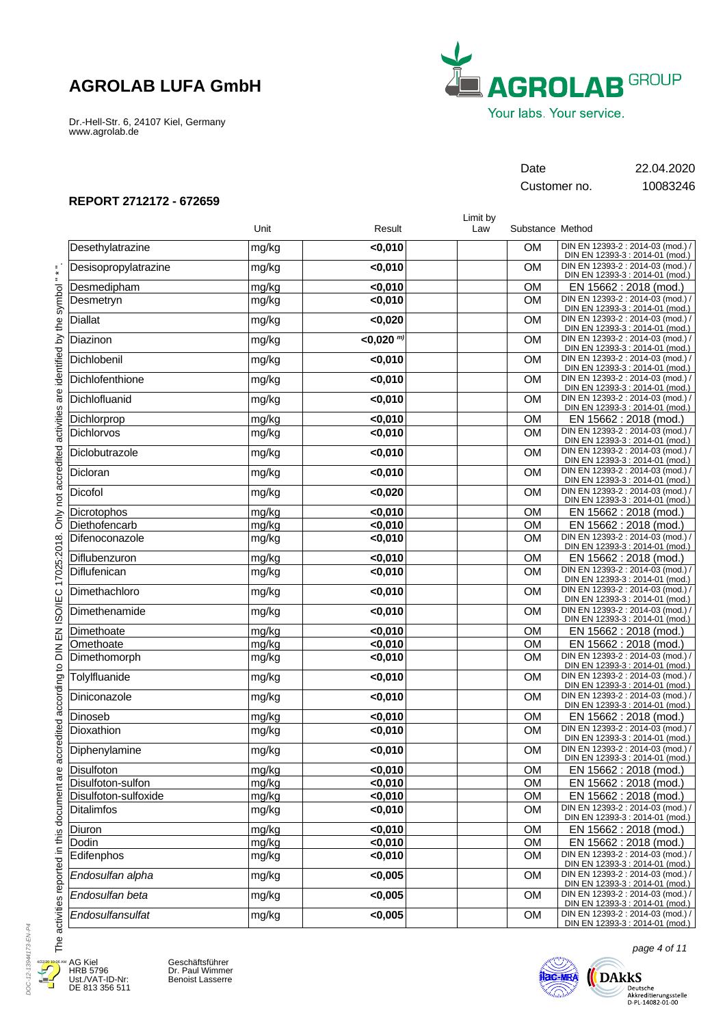Dr.-Hell-Str. 6, 24107 Kiel, Germany www.agrolab.de



Customer no. 10083246

Date 22.04.2020

### **REPORT 2712172 - 672659**

|                      | Unit  | Result                  | Limit by<br>Law | Substance Method |                                                                      |
|----------------------|-------|-------------------------|-----------------|------------------|----------------------------------------------------------------------|
|                      |       |                         |                 |                  |                                                                      |
| Desethylatrazine     | mg/kg | $0,010$                 |                 | <b>OM</b>        | DIN EN 12393-2 : 2014-03 (mod.) /<br>DIN EN 12393-3 : 2014-01 (mod.) |
| Desisopropylatrazine | mg/kg | < 0,010                 |                 | <b>OM</b>        | DIN EN 12393-2 : 2014-03 (mod.) /<br>DIN EN 12393-3 : 2014-01 (mod.) |
| Desmedipham          | mg/kg | $0,010$                 |                 | <b>OM</b>        | EN 15662 : 2018 (mod.)                                               |
| Desmetryn            | mg/kg | $0,010$                 |                 | <b>OM</b>        | DIN EN 12393-2 : 2014-03 (mod.) /<br>DIN EN 12393-3 : 2014-01 (mod.) |
| <b>Diallat</b>       | mg/kg | < 0,020                 |                 | <b>OM</b>        | DIN EN 12393-2 : 2014-03 (mod.) /<br>DIN EN 12393-3 : 2014-01 (mod.) |
| Diazinon             | mg/kg | $< 0.020$ <sup>m)</sup> |                 | <b>OM</b>        | DIN EN 12393-2 : 2014-03 (mod.) /<br>DIN EN 12393-3 : 2014-01 (mod.) |
| Dichlobenil          | mg/kg | $0,010$                 |                 | <b>OM</b>        | DIN EN 12393-2 : 2014-03 (mod.) /<br>DIN EN 12393-3 : 2014-01 (mod.) |
| Dichlofenthione      | mg/kg | $0,010$                 |                 | <b>OM</b>        | DIN EN 12393-2 : 2014-03 (mod.) /<br>DIN EN 12393-3 : 2014-01 (mod.) |
| Dichlofluanid        | mg/kg | $0,010$                 |                 | <b>OM</b>        | DIN EN 12393-2 : 2014-03 (mod.) /<br>DIN EN 12393-3 : 2014-01 (mod.) |
| Dichlorprop          | mg/kg | $0,010$                 |                 | <b>OM</b>        | EN 15662 : 2018 (mod.)                                               |
| Dichlorvos           | mg/kg | $0,010$                 |                 | <b>OM</b>        | DIN EN 12393-2 : 2014-03 (mod.) /<br>DIN EN 12393-3 : 2014-01 (mod.) |
| Diclobutrazole       | mg/kg | $0,010$                 |                 | <b>OM</b>        | DIN EN 12393-2 : 2014-03 (mod.) /<br>DIN EN 12393-3 : 2014-01 (mod.) |
| Dicloran             | mg/kg | $0,010$                 |                 | <b>OM</b>        | DIN EN 12393-2 : 2014-03 (mod.) /<br>DIN EN 12393-3 : 2014-01 (mod.) |
| Dicofol              | mg/kg | < 0,020                 |                 | <b>OM</b>        | DIN EN 12393-2 : 2014-03 (mod.) /<br>DIN EN 12393-3 : 2014-01 (mod.) |
| Dicrotophos          | mg/kg | < 0.010                 |                 | <b>OM</b>        | EN 15662 : 2018 (mod.)                                               |
| Diethofencarb        | mg/kg | < 0,010                 |                 | <b>OM</b>        | EN 15662 : 2018 (mod.)                                               |
| Difenoconazole       | mg/kg | $0,010$                 |                 | <b>OM</b>        | DIN EN 12393-2 : 2014-03 (mod.) /<br>DIN EN 12393-3 : 2014-01 (mod.) |
| Diflubenzuron        | mg/kg | $0,010$                 |                 | <b>OM</b>        | EN 15662: 2018 (mod.)                                                |
| Diflufenican         | mg/kg | $0,010$                 |                 | <b>OM</b>        | DIN EN 12393-2 : 2014-03 (mod.) /<br>DIN EN 12393-3 : 2014-01 (mod.) |
| Dimethachloro        | mg/kg | $0,010$                 |                 | <b>OM</b>        | DIN EN 12393-2 : 2014-03 (mod.) /<br>DIN EN 12393-3 : 2014-01 (mod.) |
| Dimethenamide        | mg/kg | $0,010$                 |                 | <b>OM</b>        | DIN EN 12393-2 : 2014-03 (mod.) /<br>DIN EN 12393-3 : 2014-01 (mod.) |
| Dimethoate           | mg/kg | $0,010$                 |                 | <b>OM</b>        | EN 15662 : 2018 (mod.)                                               |
| Omethoate            | mg/kg | < 0,010                 |                 | <b>OM</b>        | EN 15662 : 2018 (mod.)                                               |
| Dimethomorph         | mg/kg | < 0,010                 |                 | <b>OM</b>        | DIN EN 12393-2 : 2014-03 (mod.) /<br>DIN EN 12393-3 : 2014-01 (mod.) |
| Tolylfluanide        | mg/kg | $0,010$                 |                 | <b>OM</b>        | DIN EN 12393-2 : 2014-03 (mod.) /<br>DIN EN 12393-3 : 2014-01 (mod.) |
| Diniconazole         | mg/kg | $0,010$                 |                 | <b>OM</b>        | DIN EN 12393-2 : 2014-03 (mod.) /<br>DIN EN 12393-3 : 2014-01 (mod.) |
| Dinoseb              | mg/kg | < 0,010                 |                 | <b>OM</b>        | EN 15662 : 2018 (mod.)                                               |
| Dioxathion           | mg/kg | $0,010$                 |                 | <b>OM</b>        | DIN EN 12393-2 : 2014-03 (mod.) /<br>DIN EN 12393-3 : 2014-01 (mod.) |
| Diphenylamine        | mg/kg | $0,010$                 |                 | <b>OM</b>        | DIN EN 12393-2 : 2014-03 (mod.) /<br>DIN EN 12393-3 : 2014-01 (mod.) |
| Disulfoton           | mg/kg | < 0,010                 |                 | OM               | EN 15662 : 2018 (mod.)                                               |
| Disulfoton-sulfon    | mg/kg | $0,010$                 |                 | OM               | EN 15662 : 2018 (mod.)                                               |
| Disulfoton-sulfoxide | mg/kg | <0,010                  |                 | OM               | EN 15662 : 2018 (mod.)                                               |
| <b>Ditalimfos</b>    | mg/kg | < 0,010                 |                 | <b>OM</b>        | DIN EN 12393-2 : 2014-03 (mod.) /<br>DIN EN 12393-3 : 2014-01 (mod.) |
| Diuron               | mg/kg | < 0,010                 |                 | <b>OM</b>        | EN 15662 : 2018 (mod.)                                               |
| Dodin                | mg/kg | < 0,010                 |                 | <b>OM</b>        | EN 15662 : 2018 (mod.)                                               |
| Edifenphos           | mg/kg | < 0,010                 |                 | <b>OM</b>        | DIN EN 12393-2 : 2014-03 (mod.) /<br>DIN EN 12393-3 : 2014-01 (mod.) |
| Endosulfan alpha     | mg/kg | < 0,005                 |                 | <b>OM</b>        | DIN EN 12393-2 : 2014-03 (mod.) /<br>DIN EN 12393-3 : 2014-01 (mod.) |
| Endosulfan beta      | mg/kg | < 0,005                 |                 | <b>OM</b>        | DIN EN 12393-2 : 2014-03 (mod.) /<br>DIN EN 12393-3 : 2014-01 (mod.) |
| Endosulfansulfat     | mg/kg | < 0,005                 |                 | <b>OM</b>        | DIN EN 12393-2 : 2014-03 (mod.) /<br>DIN EN 12393-3 : 2014-01 (mod.) |

DOC-12-13944173-EN-P4 DOC-12-13944173-EN-P4 4/22/20 10:06 AMJ Æ.

E

AG Kiel HRB 5796 Ust./VAT-ID-Nr: DE 813 356 511

Geschäftsführer Dr. Paul Wimmer Benoist Lasserre



page 4 of 11

 $\bigoplus\limits_{\text{Deutsche } \atop \text{Akkeediterungstelle } \atop \text{D-PL-14082-01-00}}\hspace{-10pt} \underbrace{\text{Deutsch}}_{\text{D-PL-14082-01-00}}$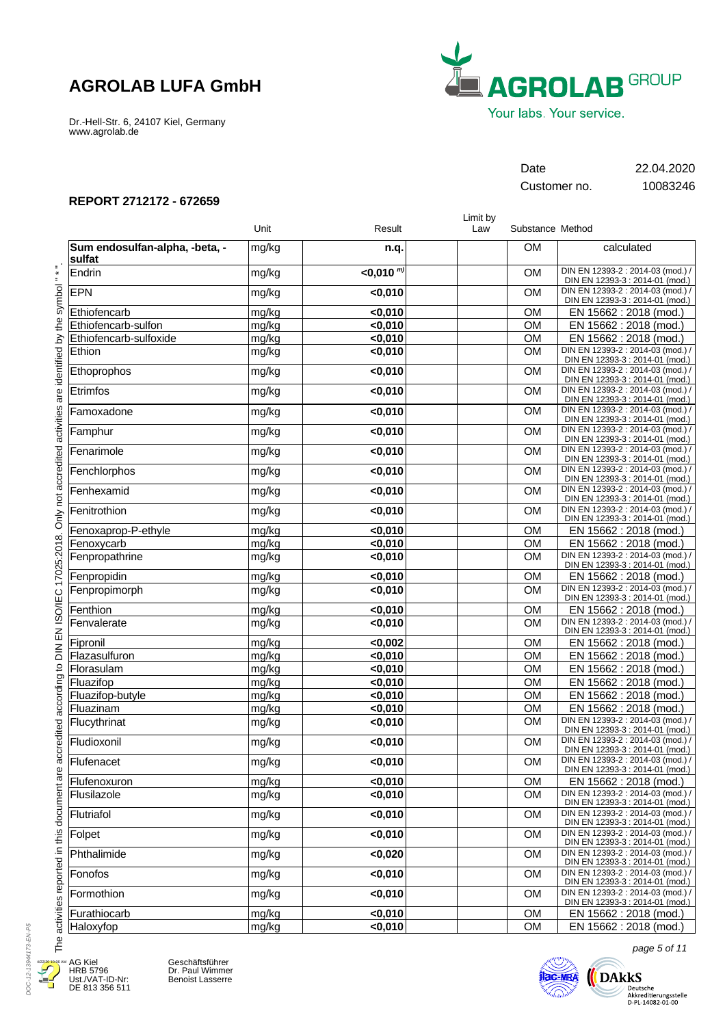Dr.-Hell-Str. 6, 24107 Kiel, Germany www.agrolab.de



Customer no. 10083246

Date 22.04.2020

## **REPORT 2712172 - 672659**

|                                          | Unit  | Result           | Limit by<br>Law | Substance Method |                                                                      |
|------------------------------------------|-------|------------------|-----------------|------------------|----------------------------------------------------------------------|
| Sum endosulfan-alpha, -beta, -<br>sulfat | mg/kg | n.q.             |                 | <b>OM</b>        | calculated                                                           |
| Endrin                                   | mg/kg | $<$ 0.010 $^{m}$ |                 | <b>OM</b>        | DIN EN 12393-2 : 2014-03 (mod.) /<br>DIN EN 12393-3 : 2014-01 (mod.) |
| <b>EPN</b>                               | mg/kg | $0,010$          |                 | <b>OM</b>        | DIN EN 12393-2 : 2014-03 (mod.) /<br>DIN EN 12393-3 : 2014-01 (mod.) |
| Ethiofencarb                             | mg/kg | < 0,010          |                 | <b>OM</b>        | EN 15662 : 2018 (mod.)                                               |
| Ethiofencarb-sulfon                      | mg/kg | < 0,010          |                 | <b>OM</b>        | EN 15662 : 2018 (mod.)                                               |
| Ethiofencarb-sulfoxide                   | mg/kg | < 0,010          |                 | <b>OM</b>        | EN 15662 : 2018 (mod.)                                               |
| Ethion                                   | mg/kg | < 0,010          |                 | <b>OM</b>        | DIN EN 12393-2 : 2014-03 (mod.) /<br>DIN EN 12393-3 : 2014-01 (mod.) |
| Ethoprophos                              | mg/kg | $0,010$          |                 | <b>OM</b>        | DIN EN 12393-2 : 2014-03 (mod.) /<br>DIN EN 12393-3 : 2014-01 (mod.) |
| Etrimfos                                 | mg/kg | $0,010$          |                 | <b>OM</b>        | DIN EN 12393-2 : 2014-03 (mod.) /<br>DIN EN 12393-3 : 2014-01 (mod.) |
| Famoxadone                               | mg/kg | $0,010$          |                 | <b>OM</b>        | DIN EN 12393-2 : 2014-03 (mod.) /<br>DIN EN 12393-3 : 2014-01 (mod.) |
| Famphur                                  | mg/kg | $0,010$          |                 | <b>OM</b>        | DIN EN 12393-2 : 2014-03 (mod.) /<br>DIN EN 12393-3 : 2014-01 (mod.) |
| Fenarimole                               | mg/kg | $0,010$          |                 | <b>OM</b>        | DIN EN 12393-2 : 2014-03 (mod.) /<br>DIN EN 12393-3 : 2014-01 (mod.) |
| Fenchlorphos                             | mg/kg | $0,010$          |                 | <b>OM</b>        | DIN EN 12393-2 : 2014-03 (mod.) /<br>DIN EN 12393-3 : 2014-01 (mod.) |
| Fenhexamid                               | mg/kg | $0,010$          |                 | <b>OM</b>        | DIN EN 12393-2 : 2014-03 (mod.) /<br>DIN EN 12393-3 : 2014-01 (mod.) |
| Fenitrothion                             | mg/kg | $0,010$          |                 | <b>OM</b>        | DIN EN 12393-2 : 2014-03 (mod.) /<br>DIN EN 12393-3 : 2014-01 (mod.) |
| Fenoxaprop-P-ethyle                      | mg/kg | < 0,010          |                 | <b>OM</b>        | EN 15662 : 2018 (mod.)                                               |
| Fenoxycarb                               | mg/kg | < 0,010          |                 | OM               | EN 15662 : 2018 (mod.)                                               |
| Fenpropathrine                           | mg/kg | < 0,010          |                 | <b>OM</b>        | DIN EN 12393-2 : 2014-03 (mod.) /<br>DIN EN 12393-3 : 2014-01 (mod.) |
| Fenpropidin                              | mg/kg | $0,010$          |                 | <b>OM</b>        | EN 15662 : 2018 (mod.)                                               |
| Fenpropimorph                            | mg/kg | < 0,010          |                 | <b>OM</b>        | DIN EN 12393-2 : 2014-03 (mod.) /<br>DIN EN 12393-3 : 2014-01 (mod.) |
| Fenthion                                 | mg/kg | $0,010$          |                 | <b>OM</b>        | EN 15662 : 2018 (mod.)                                               |
| Fenvalerate                              | mg/kg | $0,010$          |                 | <b>OM</b>        | DIN EN 12393-2 : 2014-03 (mod.) /<br>DIN EN 12393-3 : 2014-01 (mod.) |
| Fipronil                                 | mg/kg | < 0,002          |                 | <b>OM</b>        | EN 15662 : 2018 (mod.)                                               |
| Flazasulfuron                            | mg/kg | < 0,010          |                 | <b>OM</b>        | EN 15662 : 2018 (mod.)                                               |
| Florasulam                               | mg/kg | < 0,010          |                 | <b>OM</b>        | EN 15662 : 2018 (mod.)                                               |
| Fluazifop                                | mg/kg | < 0,010          |                 | <b>OM</b>        | EN 15662 : 2018 (mod.)                                               |
| Fluazifop-butyle                         | mg/kg | < 0,010          |                 | OM               | EN 15662 : 2018 (mod.)                                               |
| Fluazinam                                | mg/kg | < 0,010          |                 | <b>OM</b>        | EN 15662 : 2018 (mod.)                                               |
| Flucythrinat                             | mg/kg | < 0,010          |                 | <b>OM</b>        | DIN EN 12393-2 : 2014-03 (mod.) /<br>DIN EN 12393-3 : 2014-01 (mod.) |
| Fludioxonil                              | mg/kg | < 0,010          |                 | <b>OM</b>        | DIN EN 12393-2 : 2014-03 (mod.) /<br>DIN EN 12393-3 : 2014-01 (mod.) |
| Flufenacet                               | mg/kg | < 0,010          |                 | <b>OM</b>        | DIN EN 12393-2 : 2014-03 (mod.) /<br>DIN EN 12393-3 : 2014-01 (mod.) |
| Flufenoxuron                             | mg/kg | < 0,010          |                 | <b>OM</b>        | EN 15662 : 2018 (mod.)                                               |
| Flusilazole                              | mg/kg | < 0,010          |                 | <b>OM</b>        | DIN EN 12393-2 : 2014-03 (mod.) /<br>DIN EN 12393-3 : 2014-01 (mod.) |
| Flutriafol                               | mg/kg | < 0,010          |                 | <b>OM</b>        | DIN EN 12393-2 : 2014-03 (mod.) /<br>DIN EN 12393-3 : 2014-01 (mod.) |
| Folpet                                   | mg/kg | < 0,010          |                 | <b>OM</b>        | DIN EN 12393-2 : 2014-03 (mod.) /<br>DIN EN 12393-3 : 2014-01 (mod.) |
| Phthalimide                              | mg/kg | < 0,020          |                 | <b>OM</b>        | DIN EN 12393-2 : 2014-03 (mod.) /<br>DIN EN 12393-3 : 2014-01 (mod.) |
| Fonofos                                  | mg/kg | < 0,010          |                 | <b>OM</b>        | DIN EN 12393-2 : 2014-03 (mod.) /<br>DIN EN 12393-3 : 2014-01 (mod.) |
| Formothion                               | mg/kg | < 0,010          |                 | <b>OM</b>        | DIN EN 12393-2 : 2014-03 (mod.) /<br>DIN EN 12393-3 : 2014-01 (mod.) |
| Furathiocarb                             | mg/kg | < 0.010          |                 | <b>OM</b>        | EN 15662 : 2018 (mod.)                                               |
| Haloxyfop                                | mg/kg | <0,010           |                 | OM               | EN 15662 : 2018 (mod.)                                               |



E

AG Kiel HRB 5796 Ust./VAT-ID-Nr: DE 813 356 511

Geschäftsführer Dr. Paul Wimmer Benoist Lasserre



page 5 of 11

 $\bigoplus\limits_{\text{Deutsche } \atop \text{Akkeediterungstelle } \atop \text{D-PL-14082-01-00}}\hspace{-10pt} \underbrace{\text{Deutsch}}_{\text{D-PL-14082-01-00}}$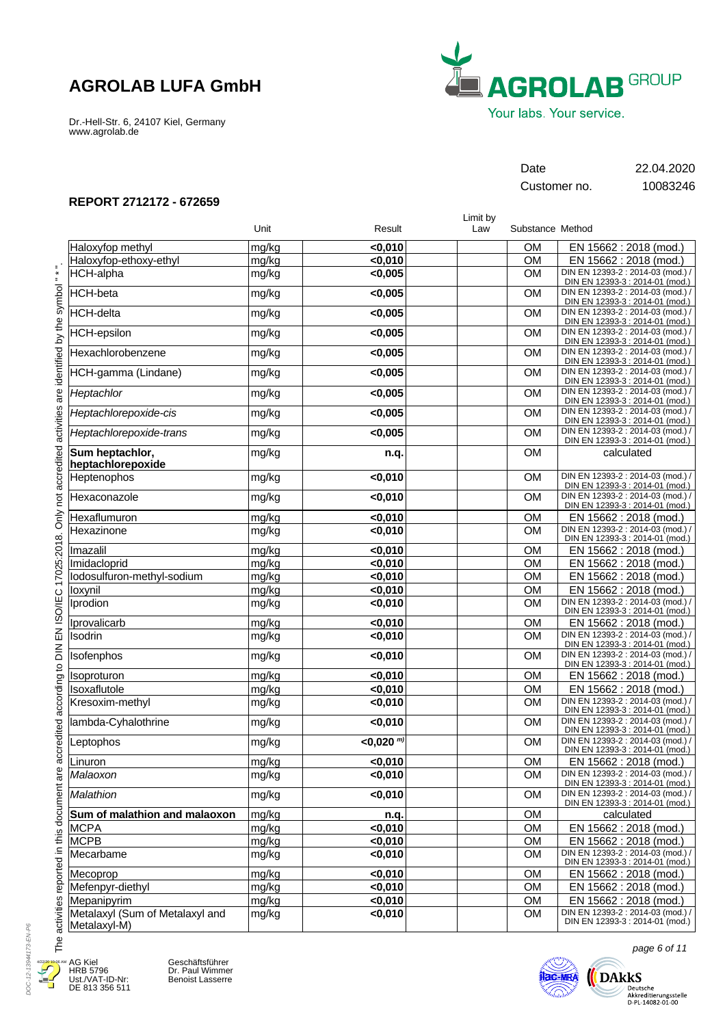Dr.-Hell-Str. 6, 24107 Kiel, Germany www.agrolab.de



Customer no. 10083246

Date 22.04.2020

### **REPORT 2712172 - 672659**

|                                                 |       |                    | Limit by |                  |                                                                      |
|-------------------------------------------------|-------|--------------------|----------|------------------|----------------------------------------------------------------------|
|                                                 | Unit  | Result             | Law      | Substance Method |                                                                      |
| Haloxyfop methyl                                | mg/kg | < 0,010            |          | <b>OM</b>        | EN 15662 : 2018 (mod.)                                               |
| Haloxyfop-ethoxy-ethyl                          | mg/kg | < 0,010            |          | <b>OM</b>        | EN 15662 : 2018 (mod.)                                               |
| <b>HCH-alpha</b>                                | mg/kg | < 0,005            |          | <b>OM</b>        | DIN EN 12393-2 : 2014-03 (mod.) /<br>DIN EN 12393-3 : 2014-01 (mod.) |
| <b>HCH-beta</b>                                 | mg/kg | < 0,005            |          | <b>OM</b>        | DIN EN 12393-2 : 2014-03 (mod.) /<br>DIN EN 12393-3 : 2014-01 (mod.) |
| <b>HCH-delta</b>                                | mg/kg | < 0,005            |          | <b>OM</b>        | DIN EN 12393-2 : 2014-03 (mod.) /<br>DIN EN 12393-3 : 2014-01 (mod.) |
| <b>HCH-epsilon</b>                              | mg/kg | < 0,005            |          | <b>OM</b>        | DIN EN 12393-2 : 2014-03 (mod.) /<br>DIN EN 12393-3 : 2014-01 (mod.) |
| Hexachlorobenzene                               | mg/kg | < 0,005            |          | <b>OM</b>        | DIN EN 12393-2 : 2014-03 (mod.) /<br>DIN EN 12393-3 : 2014-01 (mod.) |
| HCH-gamma (Lindane)                             | mg/kg | < 0,005            |          | <b>OM</b>        | DIN EN 12393-2 : 2014-03 (mod.) /<br>DIN EN 12393-3 : 2014-01 (mod.) |
| Heptachlor                                      | mg/kg | < 0,005            |          | OM               | DIN EN 12393-2 : 2014-03 (mod.) /<br>DIN EN 12393-3 : 2014-01 (mod.) |
| Heptachlorepoxide-cis                           | mg/kg | < 0,005            |          | <b>OM</b>        | DIN EN 12393-2 : 2014-03 (mod.) /<br>DIN EN 12393-3 : 2014-01 (mod.) |
| Heptachlorepoxide-trans                         | mg/kg | < 0,005            |          | <b>OM</b>        | DIN EN 12393-2 : 2014-03 (mod.) /<br>DIN EN 12393-3 : 2014-01 (mod.) |
| Sum heptachlor,<br>heptachlorepoxide            | mg/kg | n.q.               |          | <b>OM</b>        | calculated                                                           |
| Heptenophos                                     | mg/kg | $0,010$            |          | <b>OM</b>        | DIN EN 12393-2 : 2014-03 (mod.) /<br>DIN EN 12393-3 : 2014-01 (mod.) |
| Hexaconazole                                    | mg/kg | $0,010$            |          | <b>OM</b>        | DIN EN 12393-2 : 2014-03 (mod.) /<br>DIN EN 12393-3 : 2014-01 (mod.) |
| Hexaflumuron                                    | mg/kg | < 0,010            |          | <b>OM</b>        | EN 15662 : 2018 (mod.)                                               |
| Hexazinone                                      | mg/kg | < 0,010            |          | <b>OM</b>        | DIN EN 12393-2 : 2014-03 (mod.) /<br>DIN EN 12393-3 : 2014-01 (mod.) |
| Imazalil                                        | mg/kg | $0,010$            |          | <b>OM</b>        | EN 15662 : 2018 (mod.)                                               |
| Imidacloprid                                    | mg/kg | < 0,010            |          | <b>OM</b>        | EN 15662 : 2018 (mod.)                                               |
| lodosulfuron-methyl-sodium                      | mg/kg | < 0,010            |          | <b>OM</b>        | EN 15662 : 2018 (mod.)                                               |
| loxynil                                         | mg/kg | < 0,010            |          | <b>OM</b>        | EN 15662 : 2018 (mod.)                                               |
| Iprodion                                        | mg/kg | < 0,010            |          | <b>OM</b>        | DIN EN 12393-2 : 2014-03 (mod.) /<br>DIN EN 12393-3 : 2014-01 (mod.) |
| Iprovalicarb                                    | mg/kg | $0,010$            |          | <b>OM</b>        | EN 15662 : 2018 (mod.)                                               |
| Isodrin                                         | mg/kg | < 0,010            |          | <b>OM</b>        | DIN EN 12393-2 : 2014-03 (mod.) /<br>DIN EN 12393-3 : 2014-01 (mod.) |
| Isofenphos                                      | mg/kg | $0,010$            |          | OM               | DIN EN 12393-2 : 2014-03 (mod.) /<br>DIN EN 12393-3 : 2014-01 (mod.) |
| Isoproturon                                     | mg/kg | $0,010$            |          | <b>OM</b>        | EN 15662 : 2018 (mod.)                                               |
| Isoxaflutole                                    | mg/kg | < 0,010            |          | OM               | EN 15662 : 2018 (mod.)                                               |
| Kresoxim-methyl                                 | mg/kg | < 0,010            |          | <b>OM</b>        | DIN EN 12393-2 : 2014-03 (mod.) /<br>DIN EN 12393-3 : 2014-01 (mod.) |
| lambda-Cyhalothrine                             | mg/kg | < 0,010            |          | <b>OM</b>        | DIN EN 12393-2 : 2014-03 (mod.) /<br>DIN EN 12393-3 : 2014-01 (mod.) |
| Leptophos                                       | mg/kg | $<$ 0,020 $^{m}$ ) |          | <b>OM</b>        | DIN EN 12393-2 : 2014-03 (mod.) /<br>DIN EN 12393-3 : 2014-01 (mod.) |
| Linuron                                         | mg/kg | <0,010             |          | OM               | EN 15662 : 2018 (mod.)                                               |
| Malaoxon                                        | mg/kg | < 0,010            |          | <b>OM</b>        | DIN EN 12393-2 : 2014-03 (mod.) /<br>DIN EN 12393-3 : 2014-01 (mod.) |
| Malathion                                       | mg/kg | < 0,010            |          | OM               | DIN EN 12393-2 : 2014-03 (mod.) /<br>DIN EN 12393-3 : 2014-01 (mod.) |
| Sum of malathion and malaoxon                   | mg/kg | n.q.               |          | OM               | calculated                                                           |
| <b>MCPA</b>                                     | mg/kg | < 0,010            |          | OM               | EN 15662 : 2018 (mod.)                                               |
| <b>MCPB</b>                                     | mg/kg | < 0,010            |          | <b>OM</b>        | EN 15662 : 2018 (mod.)                                               |
| Mecarbame                                       | mg/kg | < 0,010            |          | <b>OM</b>        | DIN EN 12393-2 : 2014-03 (mod.) /<br>DIN EN 12393-3 : 2014-01 (mod.) |
| Mecoprop                                        | mg/kg | < 0,010            |          | <b>OM</b>        | EN 15662: 2018 (mod.)                                                |
| Mefenpyr-diethyl                                | mg/kg | < 0,010            |          | OM               | EN 15662 : 2018 (mod.)                                               |
| Mepanipyrim                                     | mg/kg | $0,010$            |          | <b>OM</b>        | EN 15662 : 2018 (mod.)<br>DIN EN 12393-2 : 2014-03 (mod.) /          |
| Metalaxyl (Sum of Metalaxyl and<br>Metalaxyl-M) | mg/kg | < 0,010            |          | <b>OM</b>        | DIN EN 12393-3 : 2014-01 (mod.)                                      |

4/22/20 10:06 AMJ

DOC-12-13944173-EN-P6

4 E

DOC-12-13944173-EN-P6



Geschäftsführer Dr. Paul Wimmer Benoist Lasserre



page 6 of 11

 $\bigotimes_{\text{Deutsche}\\ \text{DAtKS}\\ \text{Akkreditierungsstelle}\\ \text{D-PL-14082-01-00}}$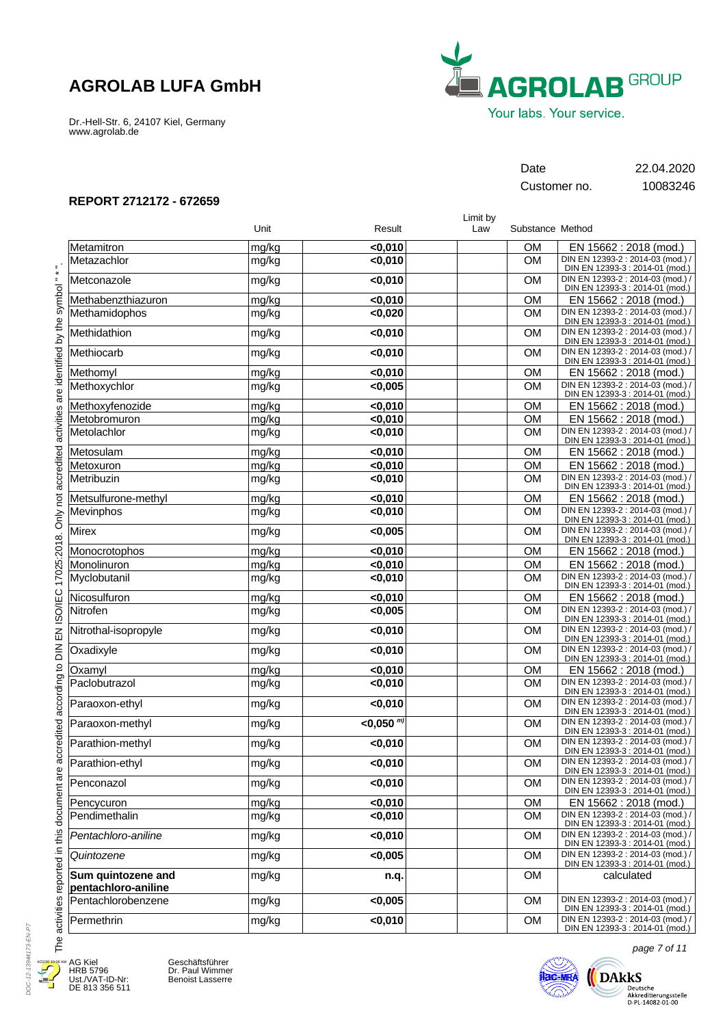Dr.-Hell-Str. 6, 24107 Kiel, Germany www.agrolab.de



Customer no. 10083246

Date 22.04.2020

### **REPORT 2712172 - 672659**

|                                           | Unit  | Result           | Limit by<br>Law | Substance Method |                                                                      |
|-------------------------------------------|-------|------------------|-----------------|------------------|----------------------------------------------------------------------|
| Metamitron                                | mg/kg | $0,010$          |                 | <b>OM</b>        | EN 15662 : 2018 (mod.)                                               |
| Metazachlor                               | mg/kg | $0,010$          |                 | <b>OM</b>        | DIN EN 12393-2 : 2014-03 (mod.) /<br>DIN EN 12393-3 : 2014-01 (mod.) |
| Metconazole                               | mg/kg | < 0,010          |                 | <b>OM</b>        | DIN EN 12393-2 : 2014-03 (mod.) /<br>DIN EN 12393-3 : 2014-01 (mod.) |
| Methabenzthiazuron                        | mg/kg | < 0.010          |                 | <b>OM</b>        | EN 15662 : 2018 (mod.)                                               |
| Methamidophos                             | mg/kg | < 0,020          |                 | <b>OM</b>        | DIN EN 12393-2 : 2014-03 (mod.) /<br>DIN EN 12393-3 : 2014-01 (mod.) |
| Methidathion                              | mg/kg | $0,010$          |                 | <b>OM</b>        | DIN EN 12393-2 : 2014-03 (mod.) /<br>DIN EN 12393-3 : 2014-01 (mod.) |
| Methiocarb                                | mg/kg | < 0,010          |                 | <b>OM</b>        | DIN EN 12393-2 : 2014-03 (mod.) /<br>DIN EN 12393-3 : 2014-01 (mod.) |
| Methomyl                                  | mg/kg | < 0,010          |                 | <b>OM</b>        | EN 15662 : 2018 (mod.)                                               |
| Methoxychlor                              | mg/kg | < 0,005          |                 | <b>OM</b>        | DIN EN 12393-2 : 2014-03 (mod.) /<br>DIN EN 12393-3 : 2014-01 (mod.) |
| Methoxyfenozide                           | mg/kg | < 0,010          |                 | <b>OM</b>        | EN 15662 : 2018 (mod.)                                               |
| Metobromuron                              | mg/kg | < 0,010          |                 | <b>OM</b>        | EN 15662: 2018 (mod.)                                                |
| Metolachlor                               | mg/kg | $0,010$          |                 | <b>OM</b>        | DIN EN 12393-2 : 2014-03 (mod.) /<br>DIN EN 12393-3 : 2014-01 (mod.) |
| Metosulam                                 | mg/kg | $0,010$          |                 | <b>OM</b>        | EN 15662 : 2018 (mod.)                                               |
| Metoxuron                                 | mg/kg | < 0,010          |                 | <b>OM</b>        | EN 15662 : 2018 (mod.)                                               |
| Metribuzin                                | mg/kg | $0,010$          |                 | <b>OM</b>        | DIN EN 12393-2 : 2014-03 (mod.) /<br>DIN EN 12393-3 : 2014-01 (mod.) |
| Metsulfurone-methyl                       | mg/kg | < 0.010          |                 | <b>OM</b>        | EN 15662 : 2018 (mod.)                                               |
| Mevinphos                                 | mg/kg | $0,010$          |                 | <b>OM</b>        | DIN EN 12393-2 : 2014-03 (mod.) /<br>DIN EN 12393-3 : 2014-01 (mod.) |
| Mirex                                     | mg/kg | < 0,005          |                 | <b>OM</b>        | DIN EN 12393-2 : 2014-03 (mod.) /<br>DIN EN 12393-3 : 2014-01 (mod.) |
| Monocrotophos                             | mg/kg | $0,010$          |                 | <b>OM</b>        | EN 15662 : 2018 (mod.)                                               |
| Monolinuron                               | mg/kg | $0,010$          |                 | <b>OM</b>        | EN 15662 : 2018 (mod.)                                               |
| Myclobutanil                              | mg/kg | $0,010$          |                 | <b>OM</b>        | DIN EN 12393-2 : 2014-03 (mod.) /<br>DIN EN 12393-3 : 2014-01 (mod.) |
| Nicosulfuron                              | mg/kg | $0,010$          |                 | <b>OM</b>        | EN 15662 : 2018 (mod.)                                               |
| Nitrofen                                  | mg/kg | < 0,005          |                 | <b>OM</b>        | DIN EN 12393-2 : 2014-03 (mod.) /<br>DIN EN 12393-3 : 2014-01 (mod.) |
| Nitrothal-isopropyle                      | mg/kg | $0,010$          |                 | <b>OM</b>        | DIN EN 12393-2 : 2014-03 (mod.) /<br>DIN EN 12393-3 : 2014-01 (mod.) |
| Oxadixyle                                 | mg/kg | $0,010$          |                 | <b>OM</b>        | DIN EN 12393-2 : 2014-03 (mod.) /<br>DIN EN 12393-3 : 2014-01 (mod.) |
| Oxamyl                                    | mg/kg | $0,010$          |                 | <b>OM</b>        | EN 15662 : 2018 (mod.)                                               |
| Paclobutrazol                             | mg/kg | < 0,010          |                 | <b>OM</b>        | DIN EN 12393-2 : 2014-03 (mod.) /<br>DIN EN 12393-3 : 2014-01 (mod.) |
| Paraoxon-ethyl                            | mg/kg | $0,010$          |                 | <b>OM</b>        | DIN EN 12393-2 : 2014-03 (mod.) /<br>DIN EN 12393-3 : 2014-01 (mod.) |
| Paraoxon-methyl                           | mg/kg | $<$ 0,050 $^{m}$ |                 | <b>OM</b>        | DIN EN 12393-2 : 2014-03 (mod.) /<br>DIN EN 12393-3 : 2014-01 (mod.) |
| Parathion-methyl                          | mg/kg | $0,010$          |                 | <b>OM</b>        | DIN EN 12393-2 : 2014-03 (mod.) /<br>DIN EN 12393-3 : 2014-01 (mod.) |
| Parathion-ethyl                           | mg/kg | <0,010           |                 | <b>OM</b>        | DIN EN 12393-2 : 2014-03 (mod.) /<br>DIN EN 12393-3 : 2014-01 (mod.) |
| Penconazol                                | mg/kg | $0,010$          |                 | <b>OM</b>        | DIN EN 12393-2 : 2014-03 (mod.) /<br>DIN EN 12393-3 : 2014-01 (mod.) |
| Pencycuron                                | mg/kg | < 0,010          |                 | <b>OM</b>        | EN 15662 : 2018 (mod.)                                               |
| Pendimethalin                             | mg/kg | $0,010$          |                 | <b>OM</b>        | DIN EN 12393-2 : 2014-03 (mod.) /<br>DIN EN 12393-3 : 2014-01 (mod.) |
| Pentachloro-aniline                       | mg/kg | < 0,010          |                 | <b>OM</b>        | DIN EN 12393-2 : 2014-03 (mod.) /<br>DIN EN 12393-3 : 2014-01 (mod.) |
| Quintozene                                | mg/kg | < 0,005          |                 | <b>OM</b>        | DIN EN 12393-2 : 2014-03 (mod.) /<br>DIN EN 12393-3 : 2014-01 (mod.) |
| Sum quintozene and<br>pentachloro-aniline | mg/kg | n.q.             |                 | <b>OM</b>        | calculated                                                           |
| Pentachlorobenzene                        | mg/kg | < 0,005          |                 | <b>OM</b>        | DIN EN 12393-2 : 2014-03 (mod.) /<br>DIN EN 12393-3 : 2014-01 (mod.) |
| Permethrin                                | mg/kg | < 0,010          |                 | OM               | DIN EN 12393-2 : 2014-03 (mod.) /<br>DIN EN 12393-3 : 2014-01 (mod.) |

DOC-12-13944173-EN-P7 DOC-12-13944173-EN-P7 4/22/20 10:06 AMJ Æ

E

AG Kiel HRB 5796 Ust./VAT-ID-Nr: DE 813 356 511

Geschäftsführer Dr. Paul Wimmer Benoist Lasserre



page 7 of 11

 $\bigotimes_{\substack{\text{Deutsche}\\ \text{Akkrediterungstelle}\\ \text{D-PL-14082-01-00}}} \text{DAkks}$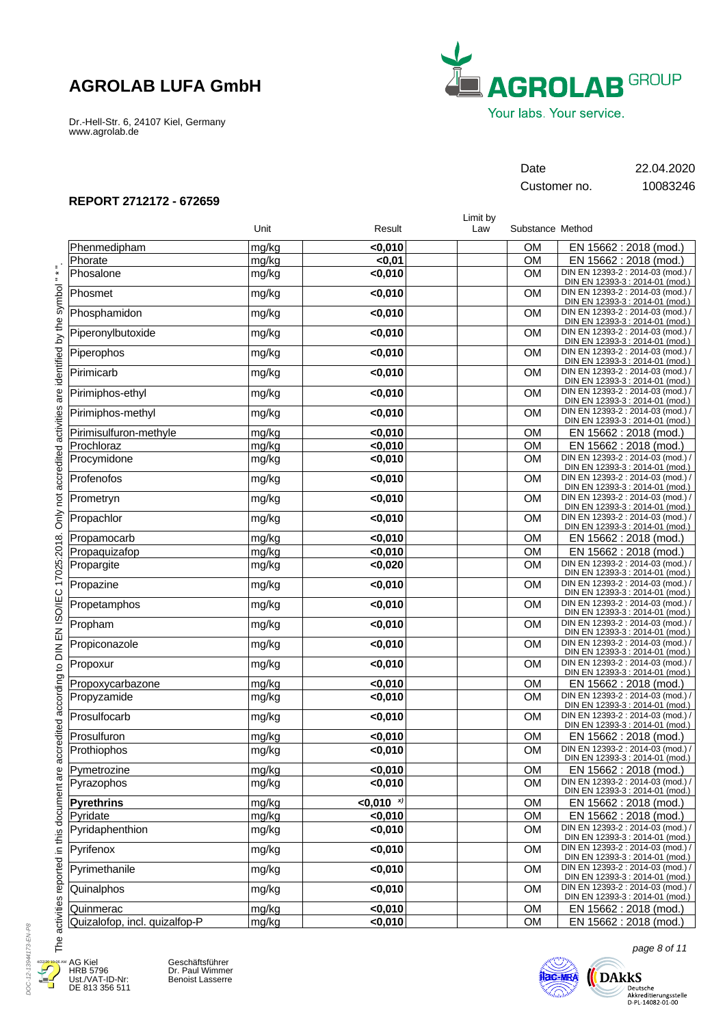Dr.-Hell-Str. 6, 24107 Kiel, Germany www.agrolab.de



Customer no. 10083246

Date 22.04.2020

### **REPORT 2712172 - 672659**

|                               |       |                | Limit by |                  |                                                                      |
|-------------------------------|-------|----------------|----------|------------------|----------------------------------------------------------------------|
|                               | Unit  | Result         | Law      | Substance Method |                                                                      |
| Phenmedipham                  | mg/kg | < 0,010        |          | <b>OM</b>        | EN 15662 : 2018 (mod.)                                               |
| Phorate                       | mg/kg | $0,01$         |          | OM               | EN 15662 : 2018 (mod.)                                               |
| Phosalone                     | mg/kg | < 0,010        |          | <b>OM</b>        | DIN EN 12393-2 : 2014-03 (mod.) /<br>DIN EN 12393-3 : 2014-01 (mod.) |
| Phosmet                       | mg/kg | $0,010$        |          | <b>OM</b>        | DIN EN 12393-2 : 2014-03 (mod.) /<br>DIN EN 12393-3 : 2014-01 (mod.) |
| Phosphamidon                  | mg/kg | $0,010$        |          | <b>OM</b>        | DIN EN 12393-2 : 2014-03 (mod.) /<br>DIN EN 12393-3 : 2014-01 (mod.) |
| Piperonylbutoxide             | mg/kg | $0,010$        |          | <b>OM</b>        | DIN EN 12393-2 : 2014-03 (mod.) /<br>DIN EN 12393-3 : 2014-01 (mod.) |
| Piperophos                    | mg/kg | $0,010$        |          | <b>OM</b>        | DIN EN 12393-2 : 2014-03 (mod.) /<br>DIN EN 12393-3 : 2014-01 (mod.) |
| Pirimicarb                    | mg/kg | $0,010$        |          | <b>OM</b>        | DIN EN 12393-2 : 2014-03 (mod.) /<br>DIN EN 12393-3 : 2014-01 (mod.) |
| Pirimiphos-ethyl              | mg/kg | $0,010$        |          | <b>OM</b>        | DIN EN 12393-2 : 2014-03 (mod.) /<br>DIN EN 12393-3 : 2014-01 (mod.) |
| Pirimiphos-methyl             | mg/kg | $0,010$        |          | <b>OM</b>        | DIN EN 12393-2 : 2014-03 (mod.) /<br>DIN EN 12393-3 : 2014-01 (mod.) |
| Pirimisulfuron-methyle        | mg/kg | $0,010$        |          | <b>OM</b>        | EN 15662 : 2018 (mod.)                                               |
| Prochloraz                    | mg/kg | < 0,010        |          | <b>OM</b>        | EN 15662 : 2018 (mod.)                                               |
| Procymidone                   | mg/kg | $0,010$        |          | <b>OM</b>        | DIN EN 12393-2 : 2014-03 (mod.) /<br>DIN EN 12393-3 : 2014-01 (mod.) |
| Profenofos                    | mg/kg | $0,010$        |          | <b>OM</b>        | DIN EN 12393-2 : 2014-03 (mod.) /<br>DIN EN 12393-3 : 2014-01 (mod.) |
| Prometryn                     | mg/kg | $0,010$        |          | <b>OM</b>        | DIN EN 12393-2 : 2014-03 (mod.) /<br>DIN EN 12393-3 : 2014-01 (mod.) |
| Propachlor                    | mg/kg | $0,010$        |          | <b>OM</b>        | DIN EN 12393-2 : 2014-03 (mod.) /<br>DIN EN 12393-3 : 2014-01 (mod.) |
| Propamocarb                   | mg/kg | < 0,010        |          | <b>OM</b>        | EN 15662 : 2018 (mod.)                                               |
| Propaquizafop                 | mg/kg | < 0,010        |          | <b>OM</b>        | EN 15662 : 2018 (mod.)                                               |
| Propargite                    | mg/kg | < 0,020        |          | <b>OM</b>        | DIN EN 12393-2 : 2014-03 (mod.) /<br>DIN EN 12393-3 : 2014-01 (mod.) |
| Propazine                     | mg/kg | $0,010$        |          | <b>OM</b>        | DIN EN 12393-2 : 2014-03 (mod.) /<br>DIN EN 12393-3 : 2014-01 (mod.) |
| Propetamphos                  | mg/kg | $0,010$        |          | <b>OM</b>        | DIN EN 12393-2 : 2014-03 (mod.) /<br>DIN EN 12393-3 : 2014-01 (mod.) |
| Propham                       | mg/kg | < 0,010        |          | <b>OM</b>        | DIN EN 12393-2 : 2014-03 (mod.) /<br>DIN EN 12393-3 : 2014-01 (mod.) |
| Propiconazole                 | mg/kg | $0,010$        |          | <b>OM</b>        | DIN EN 12393-2 : 2014-03 (mod.) /<br>DIN EN 12393-3 : 2014-01 (mod.) |
| Propoxur                      | mg/kg | < 0,010        |          | <b>OM</b>        | DIN EN 12393-2 : 2014-03 (mod.) /<br>DIN EN 12393-3 : 2014-01 (mod.) |
| Propoxycarbazone              | mg/kg | < 0,010        |          | <b>OM</b>        | EN 15662 : 2018 (mod.)                                               |
| Propyzamide                   | mg/kg | < 0,010        |          | <b>OM</b>        | DIN EN 12393-2 : 2014-03 (mod.) /<br>DIN EN 12393-3 : 2014-01 (mod.) |
| Prosulfocarb                  | mg/kg | $0,010$        |          | <b>OM</b>        | DIN EN 12393-2 : 2014-03 (mod.) /<br>DIN EN 12393-3 : 2014-01 (mod.) |
| Prosulfuron                   | mg/kg | < 0,010        |          | <b>OM</b>        | EN 15662 : 2018 (mod.)                                               |
| Prothiophos                   | mg/kg | < 0,010        |          | OM               | DIN EN 12393-2 : 2014-03 (mod.) /<br>DIN EN 12393-3 : 2014-01 (mod.) |
| Pymetrozine                   | mg/kg | $0,010$        |          | OM               | EN 15662 : 2018 (mod.)                                               |
| Pyrazophos                    | mg/kg | < 0,010        |          | OM               | DIN EN 12393-2 : 2014-03 (mod.) /<br>DIN EN 12393-3 : 2014-01 (mod.) |
| <b>Pyrethrins</b>             | mg/kg | $< 0,010$ $x)$ |          | <b>OM</b>        | EN 15662 : 2018 (mod.)                                               |
| Pyridate                      | mg/kg | $0,010$        |          | OM               | EN 15662 : 2018 (mod.)                                               |
| Pyridaphenthion               | mg/kg | < 0,010        |          | <b>OM</b>        | DIN EN 12393-2 : 2014-03 (mod.) /<br>DIN EN 12393-3 : 2014-01 (mod.) |
| Pyrifenox                     | mg/kg | $0,010$        |          | OM               | DIN EN 12393-2 : 2014-03 (mod.) /<br>DIN EN 12393-3 : 2014-01 (mod.) |
| Pyrimethanile                 | mg/kg | $0,010$        |          | <b>OM</b>        | DIN EN 12393-2 : 2014-03 (mod.) /<br>DIN EN 12393-3 : 2014-01 (mod.) |
| Quinalphos                    | mg/kg | < 0,010        |          | <b>OM</b>        | DIN EN 12393-2 : 2014-03 (mod.) /<br>DIN EN 12393-3 : 2014-01 (mod.) |
| Quinmerac                     | mg/kg | < 0,010        |          | OM               | EN 15662 : 2018 (mod.)                                               |
| Quizalofop, incl. quizalfop-P | mg/kg | < 0,010        |          | OM               | EN 15662: 2018 (mod.)                                                |

DOC-12-13944173-EN-P8 DOC-12-13944173-EN-P8 4/22/20 10:06 AMJ 4

E

AG Kiel HRB 5796 Ust./VAT-ID-Nr: DE 813 356 511





page 8 of 11

 $\bigotimes_{\text{Deutsche } \atop \text{Akkedditerungsstelle } \atop \text{D-PL-14082-01-00}} \text{DAkks}$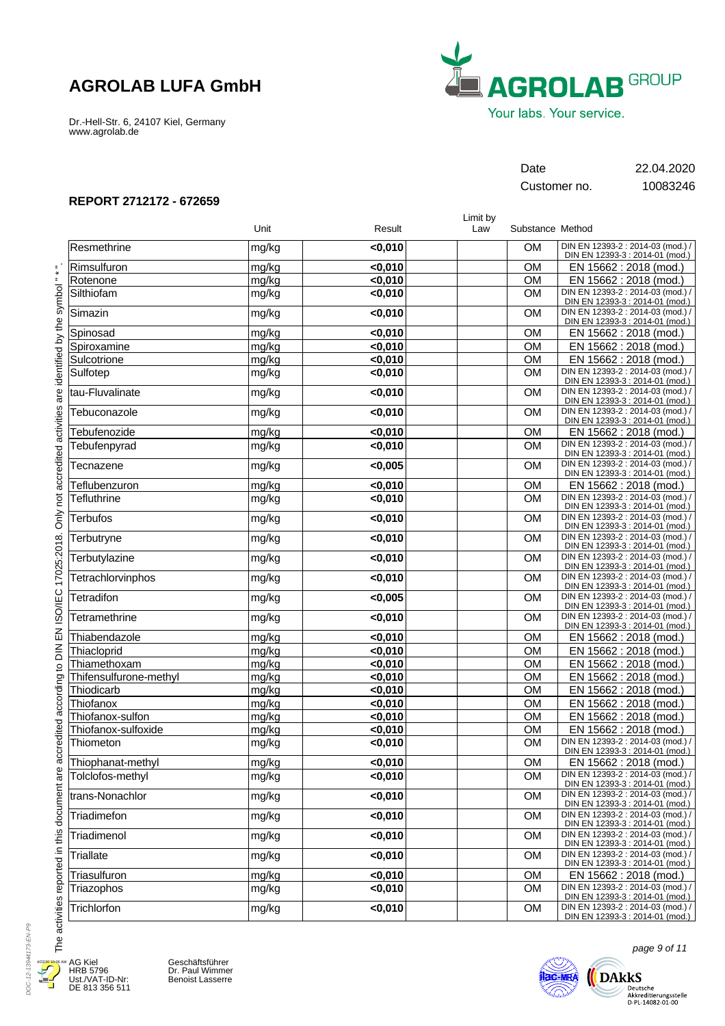Dr.-Hell-Str. 6, 24107 Kiel, Germany www.agrolab.de



Customer no. 10083246

Date 22.04.2020

### **REPORT 2712172 - 672659**

|                        |       |         | Limit by |                  |                                                                      |
|------------------------|-------|---------|----------|------------------|----------------------------------------------------------------------|
|                        | Unit  | Result  | Law      | Substance Method |                                                                      |
| Resmethrine            | mg/kg | < 0,010 |          | <b>OM</b>        | DIN EN 12393-2 : 2014-03 (mod.) /<br>DIN EN 12393-3 : 2014-01 (mod.) |
| Rimsulfuron            | mg/kg | < 0,010 |          | <b>OM</b>        | EN 15662 : 2018 (mod.)                                               |
| Rotenone               | mg/kg | < 0,010 |          | <b>OM</b>        | EN 15662 : 2018 (mod.)                                               |
| Silthiofam             | mg/kg | $0,010$ |          | <b>OM</b>        | DIN EN 12393-2 : 2014-03 (mod.) /<br>DIN EN 12393-3 : 2014-01 (mod.) |
| Simazin                | mg/kg | $0,010$ |          | <b>OM</b>        | DIN EN 12393-2 : 2014-03 (mod.) /<br>DIN EN 12393-3 : 2014-01 (mod.) |
| Spinosad               | mg/kg | $0,010$ |          | <b>OM</b>        | EN 15662 : 2018 (mod.)                                               |
| Spiroxamine            | mg/kg | < 0,010 |          | <b>OM</b>        | EN 15662 : 2018 (mod.)                                               |
| Sulcotrione            | mg/kg | $0,010$ |          | <b>OM</b>        | EN 15662 : 2018 (mod.)                                               |
| Sulfotep               | mg/kg | $0,010$ |          | <b>OM</b>        | DIN EN 12393-2 : 2014-03 (mod.) /<br>DIN EN 12393-3 : 2014-01 (mod.) |
| tau-Fluvalinate        | mg/kg | $0,010$ |          | <b>OM</b>        | DIN EN 12393-2 : 2014-03 (mod.) /<br>DIN EN 12393-3 : 2014-01 (mod.) |
| Tebuconazole           | mg/kg | < 0,010 |          | <b>OM</b>        | DIN EN 12393-2 : 2014-03 (mod.) /<br>DIN EN 12393-3 : 2014-01 (mod.) |
| Tebufenozide           | mg/kg | $0,010$ |          | <b>OM</b>        | EN 15662 : 2018 (mod.)                                               |
| Tebufenpyrad           | mg/kg | $0,010$ |          | <b>OM</b>        | DIN EN 12393-2 : 2014-03 (mod.) /<br>DIN EN 12393-3 : 2014-01 (mod.) |
| Tecnazene              | mg/kg | < 0,005 |          | <b>OM</b>        | DIN EN 12393-2 : 2014-03 (mod.) /<br>DIN EN 12393-3 : 2014-01 (mod.) |
| Teflubenzuron          | mg/kg | $0,010$ |          | <b>OM</b>        | EN 15662: 2018 (mod.)                                                |
| Tefluthrine            | mg/kg | $0,010$ |          | <b>OM</b>        | DIN EN 12393-2 : 2014-03 (mod.) /<br>DIN EN 12393-3 : 2014-01 (mod.) |
| <b>Terbufos</b>        | mg/kg | $0,010$ |          | <b>OM</b>        | DIN EN 12393-2 : 2014-03 (mod.) /<br>DIN EN 12393-3 : 2014-01 (mod.) |
| Terbutryne             | mg/kg | $0,010$ |          | <b>OM</b>        | DIN EN 12393-2 : 2014-03 (mod.) /<br>DIN EN 12393-3 : 2014-01 (mod.) |
| Terbutylazine          | mg/kg | $0,010$ |          | <b>OM</b>        | DIN EN 12393-2 : 2014-03 (mod.) /<br>DIN EN 12393-3 : 2014-01 (mod.) |
| Tetrachlorvinphos      | mg/kg | $0,010$ |          | <b>OM</b>        | DIN EN 12393-2 : 2014-03 (mod.) /<br>DIN EN 12393-3 : 2014-01 (mod.) |
| Tetradifon             | mg/kg | < 0,005 |          | <b>OM</b>        | DIN EN 12393-2 : 2014-03 (mod.) /<br>DIN EN 12393-3 : 2014-01 (mod.) |
| Tetramethrine          | mg/kg | $0,010$ |          | <b>OM</b>        | DIN EN 12393-2 : 2014-03 (mod.) /<br>DIN EN 12393-3 : 2014-01 (mod.) |
| Thiabendazole          | mg/kg | < 0,010 |          | <b>OM</b>        | EN 15662 : 2018 (mod.)                                               |
| Thiacloprid            | mg/kg | $0,010$ |          | OM               | EN 15662 : 2018 (mod.)                                               |
| Thiamethoxam           | mg/kg | < 0,010 |          | OM               | EN 15662 : 2018 (mod.)                                               |
| Thifensulfurone-methyl | mg/kg | < 0,010 |          | <b>OM</b>        | EN 15662 : 2018 (mod.)                                               |
| Thiodicarb             | mg/kg | $0,010$ |          | OM               | EN 15662 : 2018 (mod.)                                               |
| Thiofanox              | mg/kg | < 0.010 |          | <b>OM</b>        | EN 15662 : 2018 (mod.)                                               |
| Thiofanox-sulfon       | mg/kg | $0,010$ |          | <b>OM</b>        | EN 15662 : 2018 (mod.)                                               |
| Thiofanox-sulfoxide    | mg/kg | $0,010$ |          | OM               | EN 15662 : 2018 (mod.)                                               |
| Thiometon              | mg/kg | < 0,010 |          | <b>OM</b>        | DIN EN 12393-2 : 2014-03 (mod.) /<br>DIN EN 12393-3 : 2014-01 (mod.) |
| Thiophanat-methyl      | mg/kg | < 0,010 |          | OM               | EN 15662 : 2018 (mod.)                                               |
| Tolclofos-methyl       | mg/kg | $0,010$ |          | OM               | DIN EN 12393-2 : 2014-03 (mod.) /<br>DIN EN 12393-3 : 2014-01 (mod.) |
| trans-Nonachlor        | mg/kg | $0,010$ |          | <b>OM</b>        | DIN EN 12393-2 : 2014-03 (mod.) /<br>DIN EN 12393-3 : 2014-01 (mod.) |
| Triadimefon            | mg/kg | < 0,010 |          | <b>OM</b>        | DIN EN 12393-2 : 2014-03 (mod.) /<br>DIN EN 12393-3 : 2014-01 (mod.) |
| Triadimenol            | mg/kg | $0,010$ |          | OM               | DIN EN 12393-2 : 2014-03 (mod.) /<br>DIN EN 12393-3 : 2014-01 (mod.) |
| Triallate              | mg/kg | < 0,010 |          | <b>OM</b>        | DIN EN 12393-2 : 2014-03 (mod.) /<br>DIN EN 12393-3 : 2014-01 (mod.) |
| Triasulfuron           | mg/kg | < 0,010 |          | <b>OM</b>        | EN 15662 : 2018 (mod.)                                               |
| Triazophos             | mg/kg | <0,010  |          | OM               | DIN EN 12393-2 : 2014-03 (mod.) /<br>DIN EN 12393-3 : 2014-01 (mod.) |
| Trichlorfon            | mg/kg | < 0,010 |          | OM               | DIN EN 12393-2 : 2014-03 (mod.) /<br>DIN EN 12393-3 : 2014-01 (mod.) |

DOC-12-13944173-EN-P9 DOC-12-13944173-EN-P9 4/22/20 10:06 AMJ Æ

۲

AG Kiel HRB 5796 Ust./VAT-ID-Nr: DE 813 356 511





page 9 of 11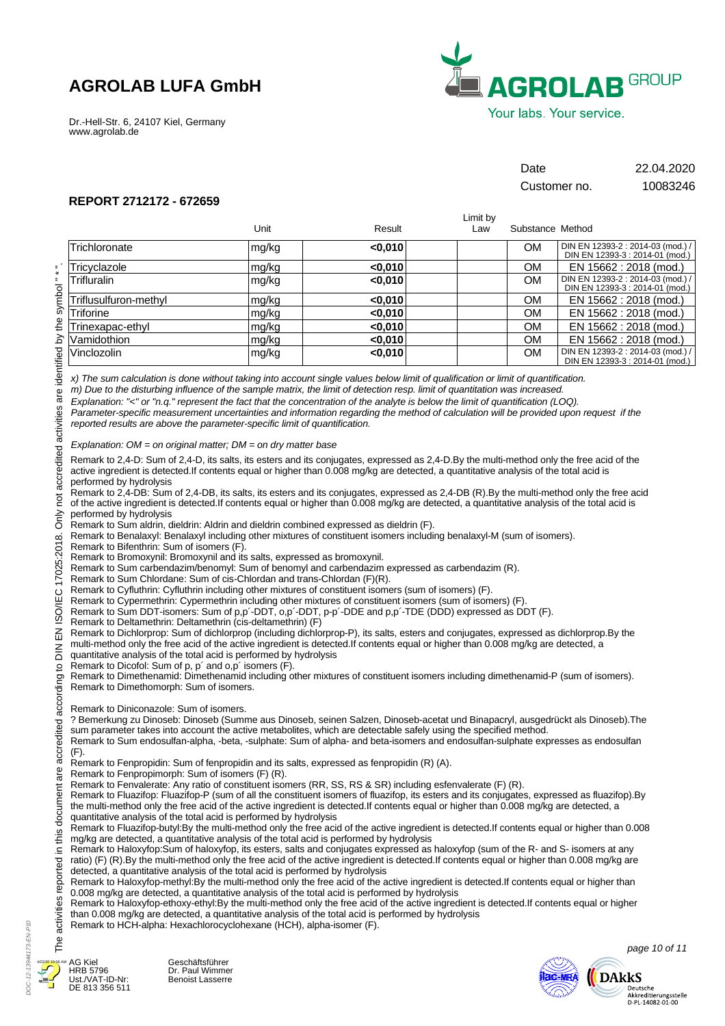Dr.-Hell-Str. 6, 24107 Kiel, Germany www.agrolab.de



# Date 22.04.2020

Customer no. 10083246

## **REPORT 2712172 - 672659**

|                                                                                                                                                                                                                                                                                                                                                                                                  |                                                                                                                                                                                                                                                                                                                                                                                                                                                                                                                                                                                                                                                                                                                                                                                                                                                                                                                                                                                                                                                                                                                                                                                                                                                                                                                                                                                                                                                                                                                                                                                                                                                                                                                                                                                                                                                                                                                                                                                                                                                                                                                                                                                                                                                                                                                                                                                                                                                                                                                                                                                                                                                                                                                                                                                                                                                                                                                                                                                                                                                                                                                                                                                                                                                                                                                                                                                                                                                                                                                                                                                                                                                                                                                                                                                                                                                                                                                                                                                                                                                                                                                                                                                                                                                                                                                                                                                                                                                                                                                                                                                                                                                                                                                                                                                                                                                                                                                                                             |         | Limit by |                  |                                   |
|--------------------------------------------------------------------------------------------------------------------------------------------------------------------------------------------------------------------------------------------------------------------------------------------------------------------------------------------------------------------------------------------------|-------------------------------------------------------------------------------------------------------------------------------------------------------------------------------------------------------------------------------------------------------------------------------------------------------------------------------------------------------------------------------------------------------------------------------------------------------------------------------------------------------------------------------------------------------------------------------------------------------------------------------------------------------------------------------------------------------------------------------------------------------------------------------------------------------------------------------------------------------------------------------------------------------------------------------------------------------------------------------------------------------------------------------------------------------------------------------------------------------------------------------------------------------------------------------------------------------------------------------------------------------------------------------------------------------------------------------------------------------------------------------------------------------------------------------------------------------------------------------------------------------------------------------------------------------------------------------------------------------------------------------------------------------------------------------------------------------------------------------------------------------------------------------------------------------------------------------------------------------------------------------------------------------------------------------------------------------------------------------------------------------------------------------------------------------------------------------------------------------------------------------------------------------------------------------------------------------------------------------------------------------------------------------------------------------------------------------------------------------------------------------------------------------------------------------------------------------------------------------------------------------------------------------------------------------------------------------------------------------------------------------------------------------------------------------------------------------------------------------------------------------------------------------------------------------------------------------------------------------------------------------------------------------------------------------------------------------------------------------------------------------------------------------------------------------------------------------------------------------------------------------------------------------------------------------------------------------------------------------------------------------------------------------------------------------------------------------------------------------------------------------------------------------------------------------------------------------------------------------------------------------------------------------------------------------------------------------------------------------------------------------------------------------------------------------------------------------------------------------------------------------------------------------------------------------------------------------------------------------------------------------------------------------------------------------------------------------------------------------------------------------------------------------------------------------------------------------------------------------------------------------------------------------------------------------------------------------------------------------------------------------------------------------------------------------------------------------------------------------------------------------------------------------------------------------------------------------------------------------------------------------------------------------------------------------------------------------------------------------------------------------------------------------------------------------------------------------------------------------------------------------------------------------------------------------------------------------------------------------------------------------------------------------------------------------------------------------------|---------|----------|------------------|-----------------------------------|
|                                                                                                                                                                                                                                                                                                                                                                                                  | Unit                                                                                                                                                                                                                                                                                                                                                                                                                                                                                                                                                                                                                                                                                                                                                                                                                                                                                                                                                                                                                                                                                                                                                                                                                                                                                                                                                                                                                                                                                                                                                                                                                                                                                                                                                                                                                                                                                                                                                                                                                                                                                                                                                                                                                                                                                                                                                                                                                                                                                                                                                                                                                                                                                                                                                                                                                                                                                                                                                                                                                                                                                                                                                                                                                                                                                                                                                                                                                                                                                                                                                                                                                                                                                                                                                                                                                                                                                                                                                                                                                                                                                                                                                                                                                                                                                                                                                                                                                                                                                                                                                                                                                                                                                                                                                                                                                                                                                                                                                        | Result  | Law      | Substance Method |                                   |
|                                                                                                                                                                                                                                                                                                                                                                                                  |                                                                                                                                                                                                                                                                                                                                                                                                                                                                                                                                                                                                                                                                                                                                                                                                                                                                                                                                                                                                                                                                                                                                                                                                                                                                                                                                                                                                                                                                                                                                                                                                                                                                                                                                                                                                                                                                                                                                                                                                                                                                                                                                                                                                                                                                                                                                                                                                                                                                                                                                                                                                                                                                                                                                                                                                                                                                                                                                                                                                                                                                                                                                                                                                                                                                                                                                                                                                                                                                                                                                                                                                                                                                                                                                                                                                                                                                                                                                                                                                                                                                                                                                                                                                                                                                                                                                                                                                                                                                                                                                                                                                                                                                                                                                                                                                                                                                                                                                                             |         |          |                  | DIN EN 12393-2 : 2014-03 (mod.) / |
| Trichloronate                                                                                                                                                                                                                                                                                                                                                                                    | mg/kg                                                                                                                                                                                                                                                                                                                                                                                                                                                                                                                                                                                                                                                                                                                                                                                                                                                                                                                                                                                                                                                                                                                                                                                                                                                                                                                                                                                                                                                                                                                                                                                                                                                                                                                                                                                                                                                                                                                                                                                                                                                                                                                                                                                                                                                                                                                                                                                                                                                                                                                                                                                                                                                                                                                                                                                                                                                                                                                                                                                                                                                                                                                                                                                                                                                                                                                                                                                                                                                                                                                                                                                                                                                                                                                                                                                                                                                                                                                                                                                                                                                                                                                                                                                                                                                                                                                                                                                                                                                                                                                                                                                                                                                                                                                                                                                                                                                                                                                                                       | 0,010   |          | OМ               | DIN EN 12393-3 : 2014-01 (mod.)   |
| Tricyclazole                                                                                                                                                                                                                                                                                                                                                                                     | mg/kg                                                                                                                                                                                                                                                                                                                                                                                                                                                                                                                                                                                                                                                                                                                                                                                                                                                                                                                                                                                                                                                                                                                                                                                                                                                                                                                                                                                                                                                                                                                                                                                                                                                                                                                                                                                                                                                                                                                                                                                                                                                                                                                                                                                                                                                                                                                                                                                                                                                                                                                                                                                                                                                                                                                                                                                                                                                                                                                                                                                                                                                                                                                                                                                                                                                                                                                                                                                                                                                                                                                                                                                                                                                                                                                                                                                                                                                                                                                                                                                                                                                                                                                                                                                                                                                                                                                                                                                                                                                                                                                                                                                                                                                                                                                                                                                                                                                                                                                                                       | < 0.010 |          | <b>OM</b>        | EN 15662 : 2018 (mod.)            |
| Trifluralin                                                                                                                                                                                                                                                                                                                                                                                      | mg/kg                                                                                                                                                                                                                                                                                                                                                                                                                                                                                                                                                                                                                                                                                                                                                                                                                                                                                                                                                                                                                                                                                                                                                                                                                                                                                                                                                                                                                                                                                                                                                                                                                                                                                                                                                                                                                                                                                                                                                                                                                                                                                                                                                                                                                                                                                                                                                                                                                                                                                                                                                                                                                                                                                                                                                                                                                                                                                                                                                                                                                                                                                                                                                                                                                                                                                                                                                                                                                                                                                                                                                                                                                                                                                                                                                                                                                                                                                                                                                                                                                                                                                                                                                                                                                                                                                                                                                                                                                                                                                                                                                                                                                                                                                                                                                                                                                                                                                                                                                       | < 0,010 |          | <b>OM</b>        | DIN EN 12393-2 : 2014-03 (mod.) / |
|                                                                                                                                                                                                                                                                                                                                                                                                  |                                                                                                                                                                                                                                                                                                                                                                                                                                                                                                                                                                                                                                                                                                                                                                                                                                                                                                                                                                                                                                                                                                                                                                                                                                                                                                                                                                                                                                                                                                                                                                                                                                                                                                                                                                                                                                                                                                                                                                                                                                                                                                                                                                                                                                                                                                                                                                                                                                                                                                                                                                                                                                                                                                                                                                                                                                                                                                                                                                                                                                                                                                                                                                                                                                                                                                                                                                                                                                                                                                                                                                                                                                                                                                                                                                                                                                                                                                                                                                                                                                                                                                                                                                                                                                                                                                                                                                                                                                                                                                                                                                                                                                                                                                                                                                                                                                                                                                                                                             |         |          |                  | DIN EN 12393-3 : 2014-01 (mod.)   |
| Triflusulfuron-methyl                                                                                                                                                                                                                                                                                                                                                                            | mg/kg                                                                                                                                                                                                                                                                                                                                                                                                                                                                                                                                                                                                                                                                                                                                                                                                                                                                                                                                                                                                                                                                                                                                                                                                                                                                                                                                                                                                                                                                                                                                                                                                                                                                                                                                                                                                                                                                                                                                                                                                                                                                                                                                                                                                                                                                                                                                                                                                                                                                                                                                                                                                                                                                                                                                                                                                                                                                                                                                                                                                                                                                                                                                                                                                                                                                                                                                                                                                                                                                                                                                                                                                                                                                                                                                                                                                                                                                                                                                                                                                                                                                                                                                                                                                                                                                                                                                                                                                                                                                                                                                                                                                                                                                                                                                                                                                                                                                                                                                                       | < 0,010 |          | OМ               | EN 15662 : 2018 (mod.)            |
| Triforine                                                                                                                                                                                                                                                                                                                                                                                        | mg/kg                                                                                                                                                                                                                                                                                                                                                                                                                                                                                                                                                                                                                                                                                                                                                                                                                                                                                                                                                                                                                                                                                                                                                                                                                                                                                                                                                                                                                                                                                                                                                                                                                                                                                                                                                                                                                                                                                                                                                                                                                                                                                                                                                                                                                                                                                                                                                                                                                                                                                                                                                                                                                                                                                                                                                                                                                                                                                                                                                                                                                                                                                                                                                                                                                                                                                                                                                                                                                                                                                                                                                                                                                                                                                                                                                                                                                                                                                                                                                                                                                                                                                                                                                                                                                                                                                                                                                                                                                                                                                                                                                                                                                                                                                                                                                                                                                                                                                                                                                       | < 0,010 |          | <b>OM</b>        | EN 15662 : 2018 (mod.)            |
| Trinexapac-ethyl                                                                                                                                                                                                                                                                                                                                                                                 | mg/kg                                                                                                                                                                                                                                                                                                                                                                                                                                                                                                                                                                                                                                                                                                                                                                                                                                                                                                                                                                                                                                                                                                                                                                                                                                                                                                                                                                                                                                                                                                                                                                                                                                                                                                                                                                                                                                                                                                                                                                                                                                                                                                                                                                                                                                                                                                                                                                                                                                                                                                                                                                                                                                                                                                                                                                                                                                                                                                                                                                                                                                                                                                                                                                                                                                                                                                                                                                                                                                                                                                                                                                                                                                                                                                                                                                                                                                                                                                                                                                                                                                                                                                                                                                                                                                                                                                                                                                                                                                                                                                                                                                                                                                                                                                                                                                                                                                                                                                                                                       | < 0,010 |          | <b>OM</b>        | EN 15662 : 2018 (mod.)            |
| Vamidothion                                                                                                                                                                                                                                                                                                                                                                                      | mg/kg                                                                                                                                                                                                                                                                                                                                                                                                                                                                                                                                                                                                                                                                                                                                                                                                                                                                                                                                                                                                                                                                                                                                                                                                                                                                                                                                                                                                                                                                                                                                                                                                                                                                                                                                                                                                                                                                                                                                                                                                                                                                                                                                                                                                                                                                                                                                                                                                                                                                                                                                                                                                                                                                                                                                                                                                                                                                                                                                                                                                                                                                                                                                                                                                                                                                                                                                                                                                                                                                                                                                                                                                                                                                                                                                                                                                                                                                                                                                                                                                                                                                                                                                                                                                                                                                                                                                                                                                                                                                                                                                                                                                                                                                                                                                                                                                                                                                                                                                                       | < 0,010 |          | <b>OM</b>        | EN 15662 : 2018 (mod.)            |
| Vinclozolin                                                                                                                                                                                                                                                                                                                                                                                      |                                                                                                                                                                                                                                                                                                                                                                                                                                                                                                                                                                                                                                                                                                                                                                                                                                                                                                                                                                                                                                                                                                                                                                                                                                                                                                                                                                                                                                                                                                                                                                                                                                                                                                                                                                                                                                                                                                                                                                                                                                                                                                                                                                                                                                                                                                                                                                                                                                                                                                                                                                                                                                                                                                                                                                                                                                                                                                                                                                                                                                                                                                                                                                                                                                                                                                                                                                                                                                                                                                                                                                                                                                                                                                                                                                                                                                                                                                                                                                                                                                                                                                                                                                                                                                                                                                                                                                                                                                                                                                                                                                                                                                                                                                                                                                                                                                                                                                                                                             | $0,010$ |          | <b>OM</b>        | DIN EN 12393-2 : 2014-03 (mod.) / |
| are identified by the symbol "*".<br>Only not accredited activities<br>performed by hydrolysis<br>performed by hydrolysis<br>EN ISO/IEC 17025:2018.<br>Remark to Bifenthrin: Sum of isomers (F).<br>$\frac{2}{5}$<br>accredited according to<br>Remark to Dimethomorph: Sum of isomers.<br>Remark to Diniconazole: Sum of isomers.<br>$(F)$ .<br>are<br>The activities reported in this document | mg/kg<br>x) The sum calculation is done without taking into account single values below limit of qualification or limit of quantification.<br>m) Due to the disturbing influence of the sample matrix, the limit of detection resp. limit of quantitation was increased.<br>Explanation: "<" or "n.q." represent the fact that the concentration of the analyte is below the limit of quantification (LOQ).<br>Parameter-specific measurement uncertainties and information regarding the method of calculation will be provided upon request if the<br>reported results are above the parameter-specific limit of quantification.<br>Explanation: $OM =$ on original matter; $DM =$ on dry matter base<br>Remark to 2,4-D: Sum of 2,4-D, its salts, its esters and its conjugates, expressed as 2,4-D.By the multi-method only the free acid of the<br>active ingredient is detected. If contents equal or higher than 0.008 mg/kg are detected, a quantitative analysis of the total acid is<br>Remark to 2,4-DB: Sum of 2,4-DB, its salts, its esters and its conjugates, expressed as 2,4-DB (R).By the multi-method only the free acid<br>of the active ingredient is detected. If contents equal or higher than 0.008 mg/kg are detected, a quantitative analysis of the total acid is<br>Remark to Sum aldrin, dieldrin: Aldrin and dieldrin combined expressed as dieldrin (F).<br>Remark to Benalaxyl: Benalaxyl including other mixtures of constituent isomers including benalaxyl-M (sum of isomers).<br>Remark to Bromoxynil: Bromoxynil and its salts, expressed as bromoxynil.<br>Remark to Sum carbendazim/benomyl: Sum of benomyl and carbendazim expressed as carbendazim (R).<br>Remark to Sum Chlordane: Sum of cis-Chlordan and trans-Chlordan (F)(R).<br>Remark to Cyfluthrin: Cyfluthrin including other mixtures of constituent isomers (sum of isomers) (F).<br>Remark to Cypermethrin: Cypermethrin including other mixtures of constituent isomers (sum of isomers) (F).<br>Remark to Sum DDT-isomers: Sum of p,p'-DDT, o,p'-DDT, p-p'-DDE and p,p'-TDE (DDD) expressed as DDT (F).<br>Remark to Deltamethrin: Deltamethrin (cis-deltamethrin) (F)<br>Remark to Dichlorprop: Sum of dichlorprop (including dichlorprop-P), its salts, esters and conjugates, expressed as dichlorprop. By the<br>multi-method only the free acid of the active ingredient is detected. If contents equal or higher than 0.008 mg/kg are detected, a<br>quantitative analysis of the total acid is performed by hydrolysis<br>Remark to Dicofol: Sum of p, p' and o,p' isomers (F).<br>Remark to Dimethenamid: Dimethenamid including other mixtures of constituent isomers including dimethenamid-P (sum of isomers).<br>? Bemerkung zu Dinoseb: Dinoseb (Summe aus Dinoseb, seinen Salzen, Dinoseb-acetat und Binapacryl, ausgedrückt als Dinoseb). The<br>sum parameter takes into account the active metabolites, which are detectable safely using the specified method.<br>Remark to Sum endosulfan-alpha, -beta, -sulphate: Sum of alpha- and beta-isomers and endosulfan-sulphate expresses as endosulfan<br>Remark to Fenpropidin: Sum of fenpropidin and its salts, expressed as fenpropidin (R) (A).<br>Remark to Fenpropimorph: Sum of isomers (F) (R).<br>Remark to Fenvalerate: Any ratio of constituent isomers (RR, SS, RS & SR) including esfenvalerate (F) (R).<br>Remark to Fluazifop: Fluazifop-P (sum of all the constituent isomers of fluazifop, its esters and its conjugates, expressed as fluazifop). By<br>the multi-method only the free acid of the active ingredient is detected. If contents equal or higher than 0.008 mg/kg are detected, a<br>quantitative analysis of the total acid is performed by hydrolysis<br>Remark to Fluazifop-butyl: By the multi-method only the free acid of the active ingredient is detected. If contents equal or higher than 0.008<br>mg/kg are detected, a quantitative analysis of the total acid is performed by hydrolysis<br>Remark to Haloxyfop:Sum of haloxyfop, its esters, salts and conjugates expressed as haloxyfop (sum of the R- and S- isomers at any<br>ratio) (F) (R). By the multi-method only the free acid of the active ingredient is detected. If contents equal or higher than 0.008 mg/kg are<br>detected, a quantitative analysis of the total acid is performed by hydrolysis<br>Remark to Haloxyfop-methyl:By the multi-method only the free acid of the active ingredient is detected. If contents equal or higher than<br>0.008 mg/kg are detected, a quantitative analysis of the total acid is performed by hydrolysis<br>Remark to Haloxyfop-ethoxy-ethyl:By the multi-method only the free acid of the active ingredient is detected.If contents equal or higher<br>than 0.008 mg/kg are detected, a quantitative analysis of the total acid is performed by hydrolysis<br>Remark to HCH-alpha: Hexachlorocyclohexane (HCH), alpha-isomer (F). |         |          |                  | DIN EN 12393-3 : 2014-01 (mod.)   |
|                                                                                                                                                                                                                                                                                                                                                                                                  |                                                                                                                                                                                                                                                                                                                                                                                                                                                                                                                                                                                                                                                                                                                                                                                                                                                                                                                                                                                                                                                                                                                                                                                                                                                                                                                                                                                                                                                                                                                                                                                                                                                                                                                                                                                                                                                                                                                                                                                                                                                                                                                                                                                                                                                                                                                                                                                                                                                                                                                                                                                                                                                                                                                                                                                                                                                                                                                                                                                                                                                                                                                                                                                                                                                                                                                                                                                                                                                                                                                                                                                                                                                                                                                                                                                                                                                                                                                                                                                                                                                                                                                                                                                                                                                                                                                                                                                                                                                                                                                                                                                                                                                                                                                                                                                                                                                                                                                                                             |         |          |                  | page 10 of 11                     |
|                                                                                                                                                                                                                                                                                                                                                                                                  |                                                                                                                                                                                                                                                                                                                                                                                                                                                                                                                                                                                                                                                                                                                                                                                                                                                                                                                                                                                                                                                                                                                                                                                                                                                                                                                                                                                                                                                                                                                                                                                                                                                                                                                                                                                                                                                                                                                                                                                                                                                                                                                                                                                                                                                                                                                                                                                                                                                                                                                                                                                                                                                                                                                                                                                                                                                                                                                                                                                                                                                                                                                                                                                                                                                                                                                                                                                                                                                                                                                                                                                                                                                                                                                                                                                                                                                                                                                                                                                                                                                                                                                                                                                                                                                                                                                                                                                                                                                                                                                                                                                                                                                                                                                                                                                                                                                                                                                                                             |         |          |                  |                                   |

### *Explanation: OM = on original matter; DM = on dry matter base*

- Only i Remark to Benalaxyl: Benalaxyl including other mixtures of constituent isomers including benalaxyl-M (sum of isomers).
	- Remark to Bifenthrin: Sum of isomers (F).

- Remark to Bromoxynil: Bromoxynil and its salts, expressed as bromoxynil.
- Remark to Sum carbendazim/benomyl: Sum of benomyl and carbendazim expressed as carbendazim (R).
- 17025:2018. Remark to Sum Chlordane: Sum of cis-Chlordan and trans-Chlordan (F)(R).
	- Remark to Cyfluthrin: Cyfluthrin including other mixtures of constituent isomers (sum of isomers) (F).
- SO/IEC Remark to Cypermethrin: Cypermethrin including other mixtures of constituent isomers (sum of isomers) (F).
	- Remark to Sum DDT-isomers: Sum of p,p´-DDT, o,p´-DDT, p-p´-DDE and p,p´-TDE (DDD) expressed as DDT (F).
	- Remark to Deltamethrin: Deltamethrin (cis-deltamethrin) (F)
- $\overline{E}$ Remark to Dichlorprop: Sum of dichlorprop (including dichlorprop-P), its salts, esters and conjugates, expressed as dichlorprop.By the

- $\frac{2}{5}$ quantitative analysis of the total acid is performed by hydrolysis
- Remark to Dicofol: Sum of p, p´ and o,p´ isomers (F).  $\overline{Q}$



AG Kiel

HRB 5796 Ust./VAT-ID-Nr: DE 813 356 511 Geschäftsführer Dr. Paul Wimmer Benoist Lasserre



page 10 of 11